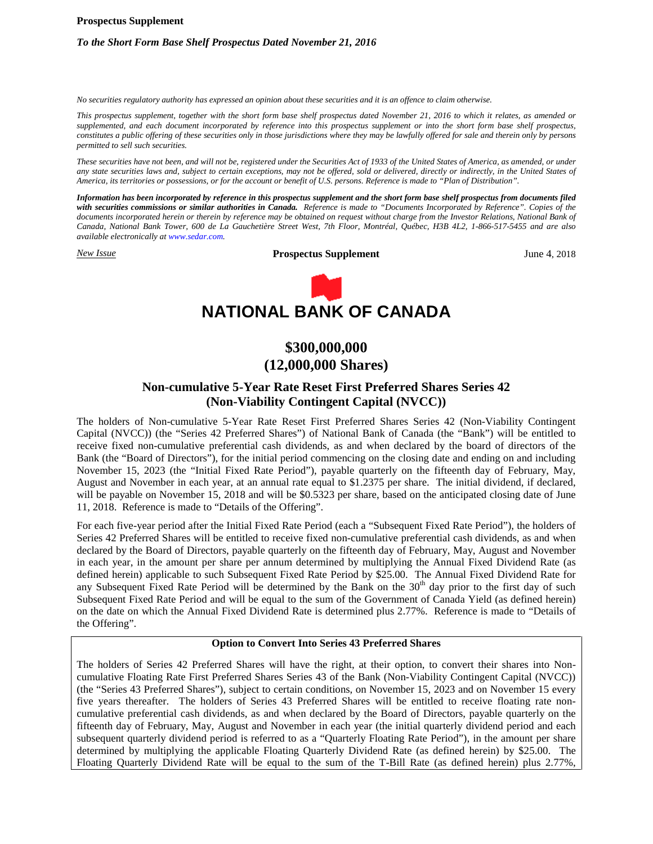#### **Prospectus Supplement**

# *To the Short Form Base Shelf Prospectus Dated November 21, 2016*

*No securities regulatory authority has expressed an opinion about these securities and it is an offence to claim otherwise.*

*This prospectus supplement, together with the short form base shelf prospectus dated November 21, 2016 to which it relates, as amended or supplemented, and each document incorporated by reference into this prospectus supplement or into the short form base shelf prospectus, constitutes a public offering of these securities only in those jurisdictions where they may be lawfully offered for sale and therein only by persons permitted to sell such securities.*

*These securities have not been, and will not be, registered under the Securities Act of 1933 of the United States of America, as amended, or under any state securities laws and, subject to certain exceptions, may not be offered, sold or delivered, directly or indirectly, in the United States of America, its territories or possessions, or for the account or benefit of U.S. persons. Reference is made to "Plan of Distribution".*

*Information has been incorporated by reference in this prospectus supplement and the short form base shelf prospectus from documents filed with securities commissions or similar authorities in Canada. Reference is made to "Documents Incorporated by Reference". Copies of the documents incorporated herein or therein by reference may be obtained on request without charge from the Investor Relations, National Bank of Canada, National Bank Tower, 600 de La Gauchetière Street West, 7th Floor, Montréal, Québec, H3B 4L2, 1-866-517-5455 and are also available electronically at www.sedar.com.*

*New Issue* **Prospectus Supplement** June 4, 2018



# **NATIONAL BANK OF CANADA**

# **\$300,000,000 (12,000,000 Shares)**

# **Non-cumulative 5-Year Rate Reset First Preferred Shares Series 42 (Non-Viability Contingent Capital (NVCC))**

The holders of Non-cumulative 5-Year Rate Reset First Preferred Shares Series 42 (Non-Viability Contingent Capital (NVCC)) (the "Series 42 Preferred Shares") of National Bank of Canada (the "Bank") will be entitled to receive fixed non-cumulative preferential cash dividends, as and when declared by the board of directors of the Bank (the "Board of Directors"), for the initial period commencing on the closing date and ending on and including November 15, 2023 (the "Initial Fixed Rate Period"), payable quarterly on the fifteenth day of February, May, August and November in each year, at an annual rate equal to \$1.2375 per share. The initial dividend, if declared, will be payable on November 15, 2018 and will be \$0.5323 per share, based on the anticipated closing date of June 11, 2018. Reference is made to "Details of the Offering".

For each five-year period after the Initial Fixed Rate Period (each a "Subsequent Fixed Rate Period"), the holders of Series 42 Preferred Shares will be entitled to receive fixed non-cumulative preferential cash dividends, as and when declared by the Board of Directors, payable quarterly on the fifteenth day of February, May, August and November in each year, in the amount per share per annum determined by multiplying the Annual Fixed Dividend Rate (as defined herein) applicable to such Subsequent Fixed Rate Period by \$25.00. The Annual Fixed Dividend Rate for any Subsequent Fixed Rate Period will be determined by the Bank on the  $30<sup>th</sup>$  day prior to the first day of such Subsequent Fixed Rate Period and will be equal to the sum of the Government of Canada Yield (as defined herein) on the date on which the Annual Fixed Dividend Rate is determined plus 2.77%. Reference is made to "Details of the Offering".

# **Option to Convert Into Series 43 Preferred Shares**

The holders of Series 42 Preferred Shares will have the right, at their option, to convert their shares into Noncumulative Floating Rate First Preferred Shares Series 43 of the Bank (Non-Viability Contingent Capital (NVCC)) (the "Series 43 Preferred Shares"), subject to certain conditions, on November 15, 2023 and on November 15 every five years thereafter. The holders of Series 43 Preferred Shares will be entitled to receive floating rate noncumulative preferential cash dividends, as and when declared by the Board of Directors, payable quarterly on the fifteenth day of February, May, August and November in each year (the initial quarterly dividend period and each subsequent quarterly dividend period is referred to as a "Quarterly Floating Rate Period"), in the amount per share determined by multiplying the applicable Floating Quarterly Dividend Rate (as defined herein) by \$25.00. The Floating Quarterly Dividend Rate will be equal to the sum of the T-Bill Rate (as defined herein) plus 2.77%,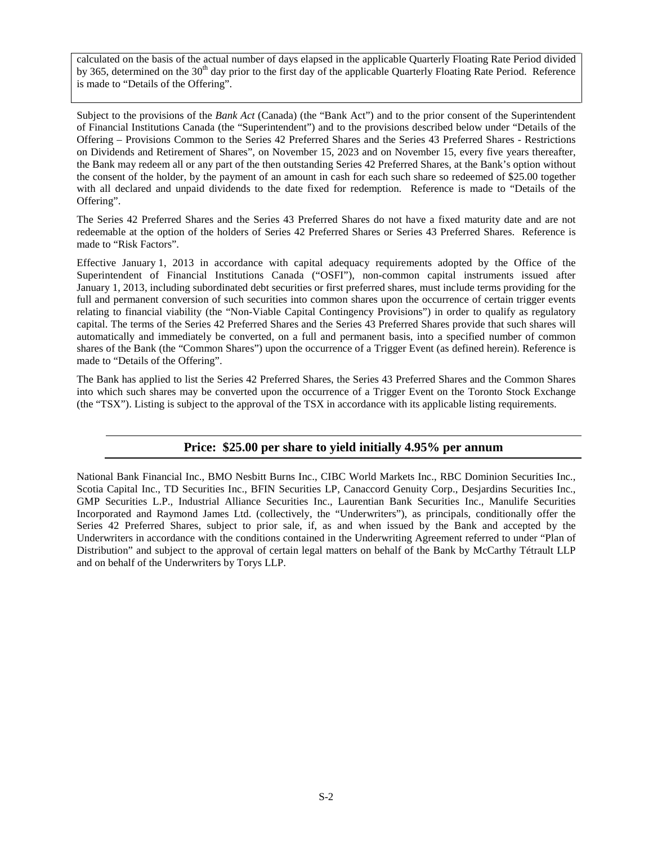calculated on the basis of the actual number of days elapsed in the applicable Quarterly Floating Rate Period divided by 365, determined on the 30<sup>th</sup> day prior to the first day of the applicable Quarterly Floating Rate Period. Reference is made to "Details of the Offering".

Subject to the provisions of the *Bank Act* (Canada) (the "Bank Act") and to the prior consent of the Superintendent of Financial Institutions Canada (the "Superintendent") and to the provisions described below under "Details of the Offering – Provisions Common to the Series 42 Preferred Shares and the Series 43 Preferred Shares - Restrictions on Dividends and Retirement of Shares", on November 15, 2023 and on November 15, every five years thereafter, the Bank may redeem all or any part of the then outstanding Series 42 Preferred Shares, at the Bank's option without the consent of the holder, by the payment of an amount in cash for each such share so redeemed of \$25.00 together with all declared and unpaid dividends to the date fixed for redemption. Reference is made to "Details of the Offering".

The Series 42 Preferred Shares and the Series 43 Preferred Shares do not have a fixed maturity date and are not redeemable at the option of the holders of Series 42 Preferred Shares or Series 43 Preferred Shares. Reference is made to "Risk Factors".

Effective January 1, 2013 in accordance with capital adequacy requirements adopted by the Office of the Superintendent of Financial Institutions Canada ("OSFI"), non-common capital instruments issued after January 1, 2013, including subordinated debt securities or first preferred shares, must include terms providing for the full and permanent conversion of such securities into common shares upon the occurrence of certain trigger events relating to financial viability (the "Non-Viable Capital Contingency Provisions") in order to qualify as regulatory capital. The terms of the Series 42 Preferred Shares and the Series 43 Preferred Shares provide that such shares will automatically and immediately be converted, on a full and permanent basis, into a specified number of common shares of the Bank (the "Common Shares") upon the occurrence of a Trigger Event (as defined herein). Reference is made to "Details of the Offering".

The Bank has applied to list the Series 42 Preferred Shares, the Series 43 Preferred Shares and the Common Shares into which such shares may be converted upon the occurrence of a Trigger Event on the Toronto Stock Exchange (the "TSX"). Listing is subject to the approval of the TSX in accordance with its applicable listing requirements.

# **Price: \$25.00 per share to yield initially 4.95% per annum**

National Bank Financial Inc., BMO Nesbitt Burns Inc., CIBC World Markets Inc., RBC Dominion Securities Inc., Scotia Capital Inc., TD Securities Inc., BFIN Securities LP, Canaccord Genuity Corp., Desjardins Securities Inc., GMP Securities L.P., Industrial Alliance Securities Inc., Laurentian Bank Securities Inc., Manulife Securities Incorporated and Raymond James Ltd. (collectively, the "Underwriters"), as principals, conditionally offer the Series 42 Preferred Shares, subject to prior sale, if, as and when issued by the Bank and accepted by the Underwriters in accordance with the conditions contained in the Underwriting Agreement referred to under "Plan of Distribution" and subject to the approval of certain legal matters on behalf of the Bank by McCarthy Tétrault LLP and on behalf of the Underwriters by Torys LLP.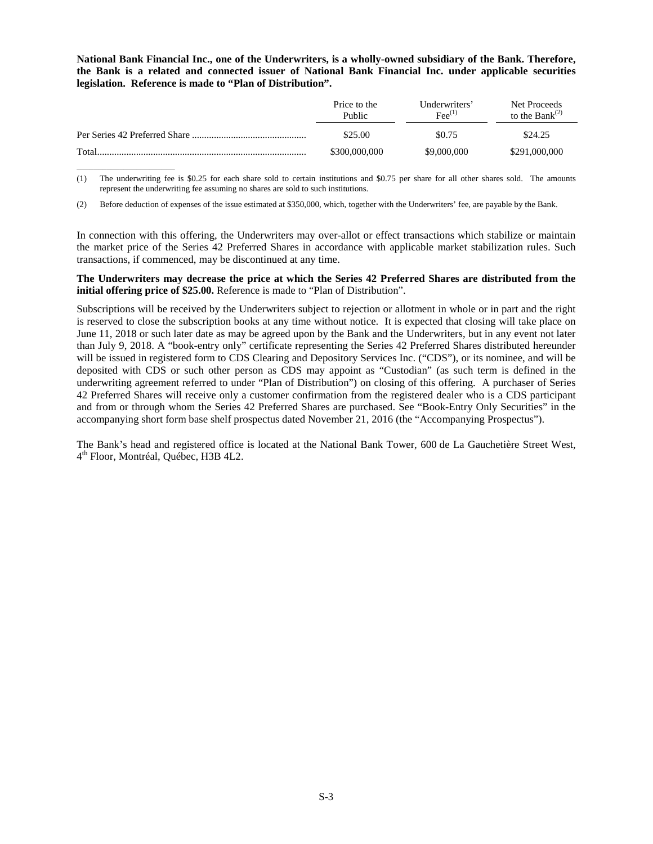**National Bank Financial Inc., one of the Underwriters, is a wholly-owned subsidiary of the Bank. Therefore, the Bank is a related and connected issuer of National Bank Financial Inc. under applicable securities legislation. Reference is made to "Plan of Distribution".**

|       | Price to the<br>Public | Underwriters'<br>$\text{Fee}^{(1)}$ | Net Proceeds<br>to the Bank $^{(2)}$ |
|-------|------------------------|-------------------------------------|--------------------------------------|
|       | \$25.00                | \$0.75                              | \$24.25                              |
| Total | \$300,000,000          | \$9,000,000                         | \$291,000,000                        |

(1) The underwriting fee is \$0.25 for each share sold to certain institutions and \$0.75 per share for all other shares sold. The amounts represent the underwriting fee assuming no shares are sold to such institutions.

(2) Before deduction of expenses of the issue estimated at \$350,000, which, together with the Underwriters' fee, are payable by the Bank.

 $\_$ 

In connection with this offering, the Underwriters may over-allot or effect transactions which stabilize or maintain the market price of the Series 42 Preferred Shares in accordance with applicable market stabilization rules. Such transactions, if commenced, may be discontinued at any time.

# **The Underwriters may decrease the price at which the Series 42 Preferred Shares are distributed from the initial offering price of \$25.00.** Reference is made to "Plan of Distribution".

Subscriptions will be received by the Underwriters subject to rejection or allotment in whole or in part and the right is reserved to close the subscription books at any time without notice. It is expected that closing will take place on June 11, 2018 or such later date as may be agreed upon by the Bank and the Underwriters, but in any event not later than July 9, 2018. A "book-entry only" certificate representing the Series 42 Preferred Shares distributed hereunder will be issued in registered form to CDS Clearing and Depository Services Inc. ("CDS"), or its nominee, and will be deposited with CDS or such other person as CDS may appoint as "Custodian" (as such term is defined in the underwriting agreement referred to under "Plan of Distribution") on closing of this offering. A purchaser of Series 42 Preferred Shares will receive only a customer confirmation from the registered dealer who is a CDS participant and from or through whom the Series 42 Preferred Shares are purchased. See "Book-Entry Only Securities" in the accompanying short form base shelf prospectus dated November 21, 2016 (the "Accompanying Prospectus").

The Bank's head and registered office is located at the National Bank Tower, 600 de La Gauchetière Street West, 4 th Floor, Montréal, Québec, H3B 4L2.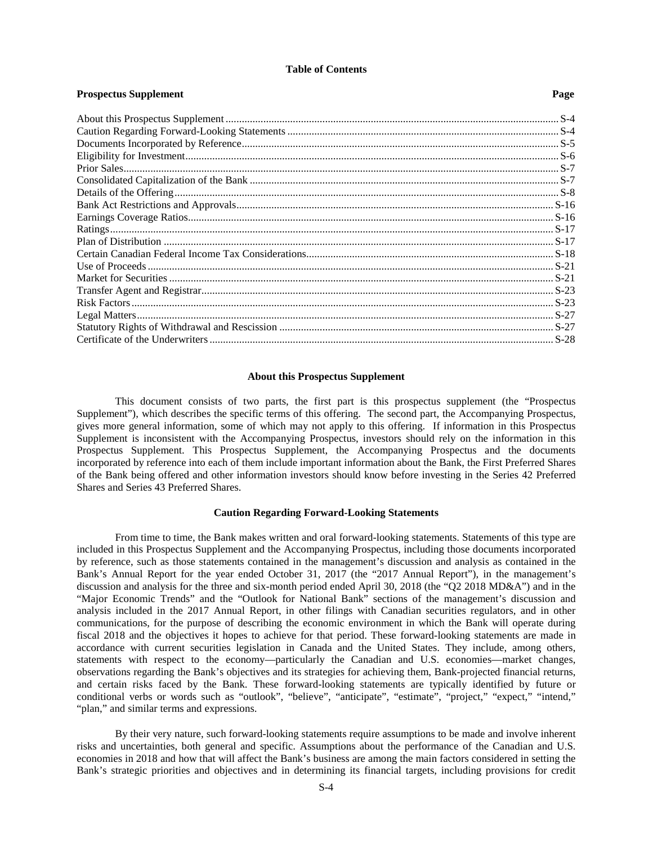# **Table of Contents**

| 1103 pecuas supprement | 1 azc |
|------------------------|-------|
|                        |       |
|                        |       |
|                        |       |
|                        |       |
|                        |       |
|                        |       |
|                        |       |
|                        |       |
|                        |       |
|                        |       |
|                        |       |
|                        |       |
|                        |       |
|                        |       |
|                        |       |
|                        |       |
|                        |       |
|                        |       |
|                        |       |

#### <span id="page-3-0"></span>**About this Prospectus Supplement**

This document consists of two parts, the first part is this prospectus supplement (the "Prospectus Supplement"), which describes the specific terms of this offering. The second part, the Accompanying Prospectus, gives more general information, some of which may not apply to this offering. If information in this Prospectus Supplement is inconsistent with the Accompanying Prospectus, investors should rely on the information in this Prospectus Supplement. This Prospectus Supplement, the Accompanying Prospectus and the documents incorporated by reference into each of them include important information about the Bank, the First Preferred Shares of the Bank being offered and other information investors should know before investing in the Series 42 Preferred Shares and Series 43 Preferred Shares.

# <span id="page-3-1"></span>**Caution Regarding Forward-Looking Statements**

From time to time, the Bank makes written and oral forward-looking statements. Statements of this type are included in this Prospectus Supplement and the Accompanying Prospectus, including those documents incorporated by reference, such as those statements contained in the management's discussion and analysis as contained in the Bank's Annual Report for the year ended October 31, 2017 (the "2017 Annual Report"), in the management's discussion and analysis for the three and six-month period ended April 30, 2018 (the "Q2 2018 MD&A") and in the "Major Economic Trends" and the "Outlook for National Bank" sections of the management's discussion and analysis included in the 2017 Annual Report, in other filings with Canadian securities regulators, and in other communications, for the purpose of describing the economic environment in which the Bank will operate during fiscal 2018 and the objectives it hopes to achieve for that period. These forward-looking statements are made in accordance with current securities legislation in Canada and the United States. They include, among others, statements with respect to the economy—particularly the Canadian and U.S. economies—market changes, observations regarding the Bank's objectives and its strategies for achieving them, Bank-projected financial returns, and certain risks faced by the Bank. These forward-looking statements are typically identified by future or conditional verbs or words such as "outlook", "believe", "anticipate", "estimate", "project," "expect," "intend," "plan," and similar terms and expressions.

By their very nature, such forward-looking statements require assumptions to be made and involve inherent risks and uncertainties, both general and specific. Assumptions about the performance of the Canadian and U.S. economies in 2018 and how that will affect the Bank's business are among the main factors considered in setting the Bank's strategic priorities and objectives and in determining its financial targets, including provisions for credit

# **Programs Supplement Page**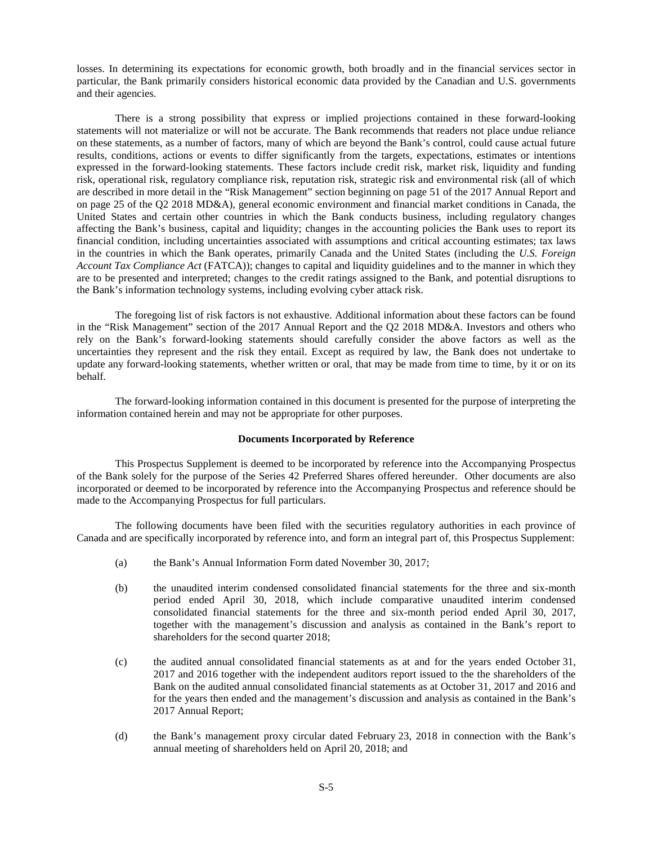losses. In determining its expectations for economic growth, both broadly and in the financial services sector in particular, the Bank primarily considers historical economic data provided by the Canadian and U.S. governments and their agencies.

There is a strong possibility that express or implied projections contained in these forward-looking statements will not materialize or will not be accurate. The Bank recommends that readers not place undue reliance on these statements, as a number of factors, many of which are beyond the Bank's control, could cause actual future results, conditions, actions or events to differ significantly from the targets, expectations, estimates or intentions expressed in the forward-looking statements. These factors include credit risk, market risk, liquidity and funding risk, operational risk, regulatory compliance risk, reputation risk, strategic risk and environmental risk (all of which are described in more detail in the "Risk Management" section beginning on page 51 of the 2017 Annual Report and on page 25 of the Q2 2018 MD&A), general economic environment and financial market conditions in Canada, the United States and certain other countries in which the Bank conducts business, including regulatory changes affecting the Bank's business, capital and liquidity; changes in the accounting policies the Bank uses to report its financial condition, including uncertainties associated with assumptions and critical accounting estimates; tax laws in the countries in which the Bank operates, primarily Canada and the United States (including the *U.S. Foreign Account Tax Compliance Act* (FATCA)); changes to capital and liquidity guidelines and to the manner in which they are to be presented and interpreted; changes to the credit ratings assigned to the Bank, and potential disruptions to the Bank's information technology systems, including evolving cyber attack risk.

The foregoing list of risk factors is not exhaustive. Additional information about these factors can be found in the "Risk Management" section of the 2017 Annual Report and the Q2 2018 MD&A. Investors and others who rely on the Bank's forward-looking statements should carefully consider the above factors as well as the uncertainties they represent and the risk they entail. Except as required by law, the Bank does not undertake to update any forward-looking statements, whether written or oral, that may be made from time to time, by it or on its behalf.

The forward-looking information contained in this document is presented for the purpose of interpreting the information contained herein and may not be appropriate for other purposes.

# <span id="page-4-0"></span>**Documents Incorporated by Reference**

This Prospectus Supplement is deemed to be incorporated by reference into the Accompanying Prospectus of the Bank solely for the purpose of the Series 42 Preferred Shares offered hereunder. Other documents are also incorporated or deemed to be incorporated by reference into the Accompanying Prospectus and reference should be made to the Accompanying Prospectus for full particulars.

The following documents have been filed with the securities regulatory authorities in each province of Canada and are specifically incorporated by reference into, and form an integral part of, this Prospectus Supplement:

- (a) the Bank's Annual Information Form dated November 30, 2017;
- (b) the unaudited interim condensed consolidated financial statements for the three and six-month period ended April 30, 2018, which include comparative unaudited interim condensed consolidated financial statements for the three and six-month period ended April 30, 2017, together with the management's discussion and analysis as contained in the Bank's report to shareholders for the second quarter 2018;
- (c) the audited annual consolidated financial statements as at and for the years ended October 31, 2017 and 2016 together with the independent auditors report issued to the the shareholders of the Bank on the audited annual consolidated financial statements as at October 31, 2017 and 2016 and for the years then ended and the management's discussion and analysis as contained in the Bank's 2017 Annual Report;
- (d) the Bank's management proxy circular dated February 23, 2018 in connection with the Bank's annual meeting of shareholders held on April 20, 2018; and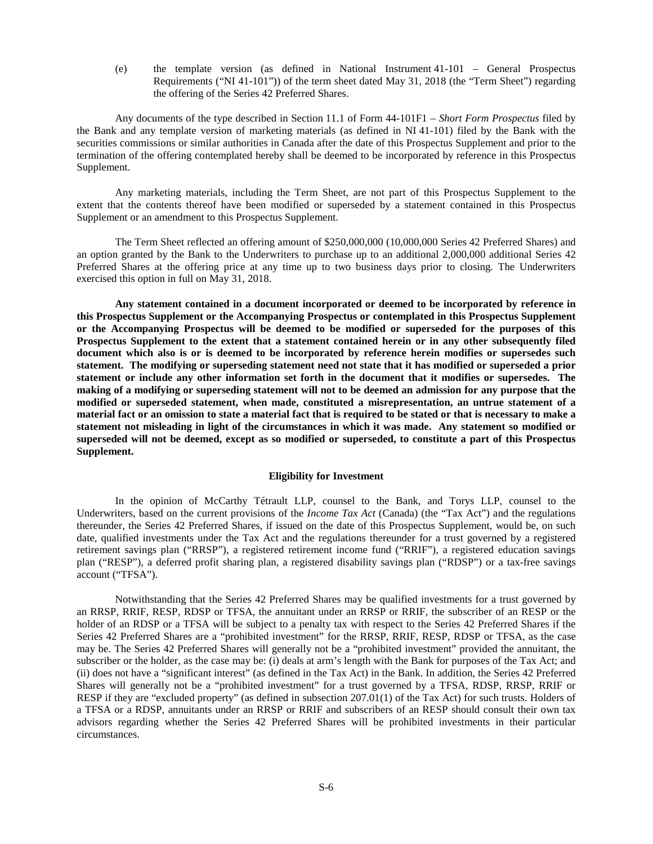(e) the template version (as defined in National Instrument 41-101 – General Prospectus Requirements ("NI 41-101")) of the term sheet dated May 31, 2018 (the "Term Sheet") regarding the offering of the Series 42 Preferred Shares.

Any documents of the type described in Section 11.1 of Form 44-101F1 – *Short Form Prospectus* filed by the Bank and any template version of marketing materials (as defined in NI 41-101) filed by the Bank with the securities commissions or similar authorities in Canada after the date of this Prospectus Supplement and prior to the termination of the offering contemplated hereby shall be deemed to be incorporated by reference in this Prospectus Supplement.

Any marketing materials, including the Term Sheet, are not part of this Prospectus Supplement to the extent that the contents thereof have been modified or superseded by a statement contained in this Prospectus Supplement or an amendment to this Prospectus Supplement.

The Term Sheet reflected an offering amount of \$250,000,000 (10,000,000 Series 42 Preferred Shares) and an option granted by the Bank to the Underwriters to purchase up to an additional 2,000,000 additional Series 42 Preferred Shares at the offering price at any time up to two business days prior to closing. The Underwriters exercised this option in full on May 31, 2018.

**Any statement contained in a document incorporated or deemed to be incorporated by reference in this Prospectus Supplement or the Accompanying Prospectus or contemplated in this Prospectus Supplement or the Accompanying Prospectus will be deemed to be modified or superseded for the purposes of this Prospectus Supplement to the extent that a statement contained herein or in any other subsequently filed document which also is or is deemed to be incorporated by reference herein modifies or supersedes such statement. The modifying or superseding statement need not state that it has modified or superseded a prior statement or include any other information set forth in the document that it modifies or supersedes. The making of a modifying or superseding statement will not to be deemed an admission for any purpose that the modified or superseded statement, when made, constituted a misrepresentation, an untrue statement of a material fact or an omission to state a material fact that is required to be stated or that is necessary to make a statement not misleading in light of the circumstances in which it was made. Any statement so modified or superseded will not be deemed, except as so modified or superseded, to constitute a part of this Prospectus Supplement.**

# <span id="page-5-0"></span>**Eligibility for Investment**

In the opinion of McCarthy Tétrault LLP, counsel to the Bank, and Torys LLP, counsel to the Underwriters, based on the current provisions of the *Income Tax Act* (Canada) (the "Tax Act") and the regulations thereunder, the Series 42 Preferred Shares, if issued on the date of this Prospectus Supplement, would be, on such date, qualified investments under the Tax Act and the regulations thereunder for a trust governed by a registered retirement savings plan ("RRSP"), a registered retirement income fund ("RRIF"), a registered education savings plan ("RESP"), a deferred profit sharing plan, a registered disability savings plan ("RDSP") or a tax-free savings account ("TFSA").

Notwithstanding that the Series 42 Preferred Shares may be qualified investments for a trust governed by an RRSP, RRIF, RESP, RDSP or TFSA, the annuitant under an RRSP or RRIF, the subscriber of an RESP or the holder of an RDSP or a TFSA will be subject to a penalty tax with respect to the Series 42 Preferred Shares if the Series 42 Preferred Shares are a "prohibited investment" for the RRSP, RRIF, RESP, RDSP or TFSA, as the case may be. The Series 42 Preferred Shares will generally not be a "prohibited investment" provided the annuitant, the subscriber or the holder, as the case may be: (i) deals at arm's length with the Bank for purposes of the Tax Act; and (ii) does not have a "significant interest" (as defined in the Tax Act) in the Bank. In addition, the Series 42 Preferred Shares will generally not be a "prohibited investment" for a trust governed by a TFSA, RDSP, RRSP, RRIF or RESP if they are "excluded property" (as defined in subsection 207.01(1) of the Tax Act) for such trusts. Holders of a TFSA or a RDSP, annuitants under an RRSP or RRIF and subscribers of an RESP should consult their own tax advisors regarding whether the Series 42 Preferred Shares will be prohibited investments in their particular circumstances.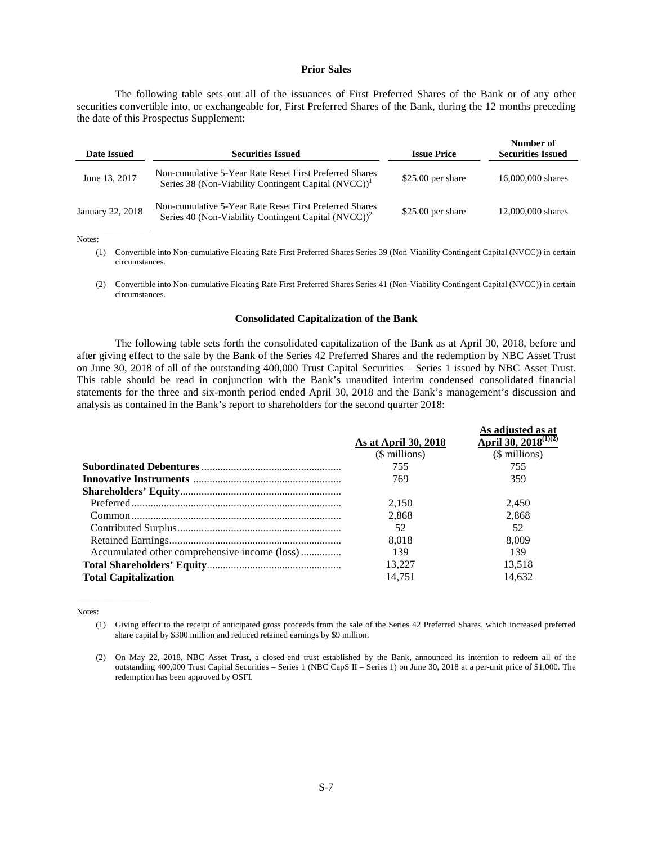#### <span id="page-6-0"></span>**Prior Sales**

The following table sets out all of the issuances of First Preferred Shares of the Bank or of any other securities convertible into, or exchangeable for, First Preferred Shares of the Bank, during the 12 months preceding the date of this Prospectus Supplement:

| Date Issued      | <b>Securities Issued</b>                                                                                                    | <b>Issue Price</b> | Number of<br><b>Securities Issued</b> |
|------------------|-----------------------------------------------------------------------------------------------------------------------------|--------------------|---------------------------------------|
| June 13, 2017    | Non-cumulative 5-Year Rate Reset First Preferred Shares<br>Series 38 (Non-Viability Contingent Capital (NVCC)) <sup>1</sup> | $$25.00$ per share | 16,000,000 shares                     |
| January 22, 2018 | Non-cumulative 5-Year Rate Reset First Preferred Shares<br>Series 40 (Non-Viability Contingent Capital $(NVCC)^2$ )         | $$25.00$ per share | 12,000,000 shares                     |

Notes:

(1) Convertible into Non-cumulative Floating Rate First Preferred Shares Series 39 (Non-Viability Contingent Capital (NVCC)) in certain circumstances.

(2) Convertible into Non-cumulative Floating Rate First Preferred Shares Series 41 (Non-Viability Contingent Capital (NVCC)) in certain circumstances.

## <span id="page-6-1"></span>**Consolidated Capitalization of the Bank**

The following table sets forth the consolidated capitalization of the Bank as at April 30, 2018, before and after giving effect to the sale by the Bank of the Series 42 Preferred Shares and the redemption by NBC Asset Trust on June 30, 2018 of all of the outstanding 400,000 Trust Capital Securities – Series 1 issued by NBC Asset Trust. This table should be read in conjunction with the Bank's unaudited interim condensed consolidated financial statements for the three and six-month period ended April 30, 2018 and the Bank's management's discussion and analysis as contained in the Bank's report to shareholders for the second quarter 2018:

|                                               |                      | As adjusted as at         |
|-----------------------------------------------|----------------------|---------------------------|
|                                               | As at April 30, 2018 | April 30, $2018^{(1)(2)}$ |
|                                               | (\$ millions)        | (\$ millions)             |
|                                               | 755                  | 755                       |
|                                               | 769                  | 359                       |
|                                               |                      |                           |
|                                               | 2,150                | 2.450                     |
|                                               | 2.868                | 2.868                     |
|                                               | 52                   | 52                        |
|                                               | 8.018                | 8.009                     |
| Accumulated other comprehensive income (loss) | 139                  | 139                       |
|                                               | 13.227               | 13.518                    |
| <b>Total Capitalization</b>                   | 14.751               | 14.632                    |

Notes:

 $\overline{\phantom{a}}$  , where  $\overline{\phantom{a}}$  , where  $\overline{\phantom{a}}$ 

<sup>(1)</sup> Giving effect to the receipt of anticipated gross proceeds from the sale of the Series 42 Preferred Shares, which increased preferred share capital by \$300 million and reduced retained earnings by \$9 million.

<sup>(2)</sup> On May 22, 2018, NBC Asset Trust, a closed-end trust established by the Bank, announced its intention to redeem all of the outstanding 400,000 Trust Capital Securities – Series 1 (NBC CapS II – Series 1) on June 30, 2018 at a per-unit price of \$1,000. The redemption has been approved by OSFI.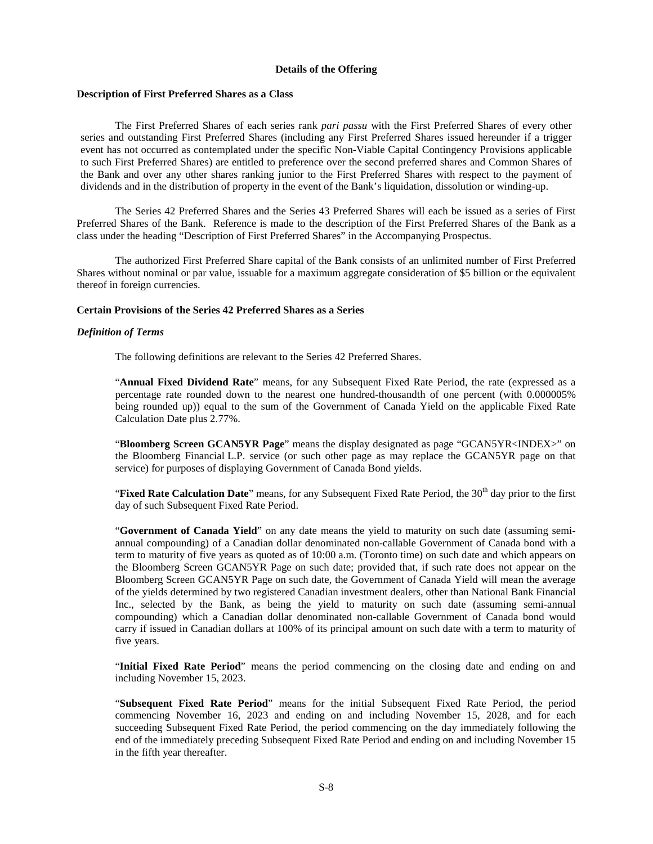# <span id="page-7-0"></span>**Details of the Offering**

# **Description of First Preferred Shares as a Class**

The First Preferred Shares of each series rank *pari passu* with the First Preferred Shares of every other series and outstanding First Preferred Shares (including any First Preferred Shares issued hereunder if a trigger event has not occurred as contemplated under the specific Non-Viable Capital Contingency Provisions applicable to such First Preferred Shares) are entitled to preference over the second preferred shares and Common Shares of the Bank and over any other shares ranking junior to the First Preferred Shares with respect to the payment of dividends and in the distribution of property in the event of the Bank's liquidation, dissolution or winding-up.

The Series 42 Preferred Shares and the Series 43 Preferred Shares will each be issued as a series of First Preferred Shares of the Bank. Reference is made to the description of the First Preferred Shares of the Bank as a class under the heading "Description of First Preferred Shares" in the Accompanying Prospectus.

The authorized First Preferred Share capital of the Bank consists of an unlimited number of First Preferred Shares without nominal or par value, issuable for a maximum aggregate consideration of \$5 billion or the equivalent thereof in foreign currencies.

# **Certain Provisions of the Series 42 Preferred Shares as a Series**

#### *Definition of Terms*

The following definitions are relevant to the Series 42 Preferred Shares.

"**Annual Fixed Dividend Rate**" means, for any Subsequent Fixed Rate Period, the rate (expressed as a percentage rate rounded down to the nearest one hundred-thousandth of one percent (with 0.000005% being rounded up)) equal to the sum of the Government of Canada Yield on the applicable Fixed Rate Calculation Date plus 2.77%.

"**Bloomberg Screen GCAN5YR Page**" means the display designated as page "GCAN5YR<INDEX>" on the Bloomberg Financial L.P. service (or such other page as may replace the GCAN5YR page on that service) for purposes of displaying Government of Canada Bond yields.

"**Fixed Rate Calculation Date**" means, for any Subsequent Fixed Rate Period, the 30<sup>th</sup> day prior to the first day of such Subsequent Fixed Rate Period.

"**Government of Canada Yield**" on any date means the yield to maturity on such date (assuming semiannual compounding) of a Canadian dollar denominated non-callable Government of Canada bond with a term to maturity of five years as quoted as of 10:00 a.m. (Toronto time) on such date and which appears on the Bloomberg Screen GCAN5YR Page on such date; provided that, if such rate does not appear on the Bloomberg Screen GCAN5YR Page on such date, the Government of Canada Yield will mean the average of the yields determined by two registered Canadian investment dealers, other than National Bank Financial Inc., selected by the Bank, as being the yield to maturity on such date (assuming semi-annual compounding) which a Canadian dollar denominated non-callable Government of Canada bond would carry if issued in Canadian dollars at 100% of its principal amount on such date with a term to maturity of five years.

"**Initial Fixed Rate Period**" means the period commencing on the closing date and ending on and including November 15, 2023.

"**Subsequent Fixed Rate Period**" means for the initial Subsequent Fixed Rate Period, the period commencing November 16, 2023 and ending on and including November 15, 2028, and for each succeeding Subsequent Fixed Rate Period, the period commencing on the day immediately following the end of the immediately preceding Subsequent Fixed Rate Period and ending on and including November 15 in the fifth year thereafter.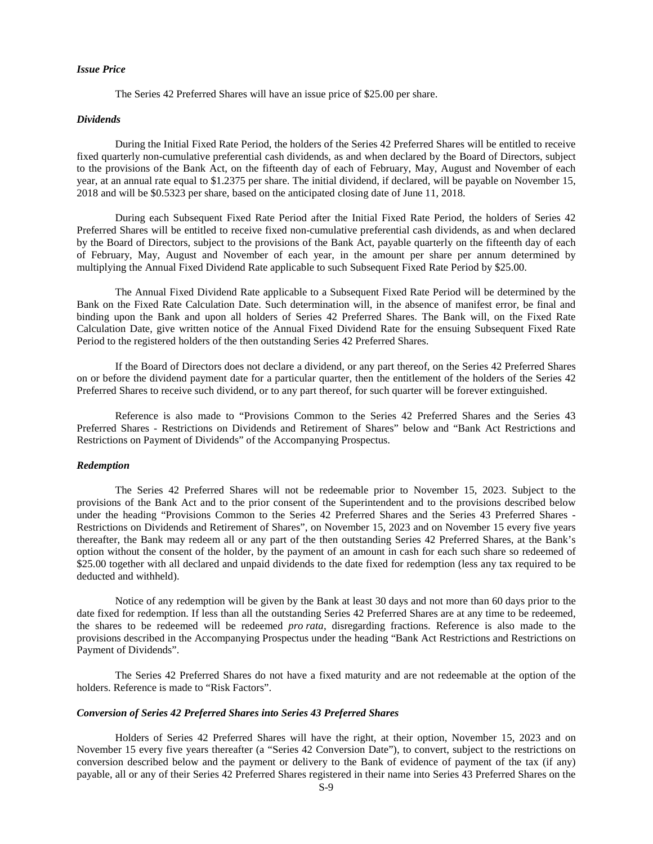# *Issue Price*

The Series 42 Preferred Shares will have an issue price of \$25.00 per share.

#### *Dividends*

During the Initial Fixed Rate Period, the holders of the Series 42 Preferred Shares will be entitled to receive fixed quarterly non-cumulative preferential cash dividends, as and when declared by the Board of Directors, subject to the provisions of the Bank Act, on the fifteenth day of each of February, May, August and November of each year, at an annual rate equal to \$1.2375 per share. The initial dividend, if declared, will be payable on November 15, 2018 and will be \$0.5323 per share, based on the anticipated closing date of June 11, 2018.

During each Subsequent Fixed Rate Period after the Initial Fixed Rate Period, the holders of Series 42 Preferred Shares will be entitled to receive fixed non-cumulative preferential cash dividends, as and when declared by the Board of Directors, subject to the provisions of the Bank Act, payable quarterly on the fifteenth day of each of February, May, August and November of each year, in the amount per share per annum determined by multiplying the Annual Fixed Dividend Rate applicable to such Subsequent Fixed Rate Period by \$25.00.

The Annual Fixed Dividend Rate applicable to a Subsequent Fixed Rate Period will be determined by the Bank on the Fixed Rate Calculation Date. Such determination will, in the absence of manifest error, be final and binding upon the Bank and upon all holders of Series 42 Preferred Shares. The Bank will, on the Fixed Rate Calculation Date, give written notice of the Annual Fixed Dividend Rate for the ensuing Subsequent Fixed Rate Period to the registered holders of the then outstanding Series 42 Preferred Shares.

If the Board of Directors does not declare a dividend, or any part thereof, on the Series 42 Preferred Shares on or before the dividend payment date for a particular quarter, then the entitlement of the holders of the Series 42 Preferred Shares to receive such dividend, or to any part thereof, for such quarter will be forever extinguished.

Reference is also made to "Provisions Common to the Series 42 Preferred Shares and the Series 43 Preferred Shares - Restrictions on Dividends and Retirement of Shares" below and "Bank Act Restrictions and Restrictions on Payment of Dividends" of the Accompanying Prospectus.

# *Redemption*

The Series 42 Preferred Shares will not be redeemable prior to November 15, 2023. Subject to the provisions of the Bank Act and to the prior consent of the Superintendent and to the provisions described below under the heading "Provisions Common to the Series 42 Preferred Shares and the Series 43 Preferred Shares - Restrictions on Dividends and Retirement of Shares", on November 15, 2023 and on November 15 every five years thereafter, the Bank may redeem all or any part of the then outstanding Series 42 Preferred Shares, at the Bank's option without the consent of the holder, by the payment of an amount in cash for each such share so redeemed of \$25.00 together with all declared and unpaid dividends to the date fixed for redemption (less any tax required to be deducted and withheld).

Notice of any redemption will be given by the Bank at least 30 days and not more than 60 days prior to the date fixed for redemption. If less than all the outstanding Series 42 Preferred Shares are at any time to be redeemed, the shares to be redeemed will be redeemed *pro rata*, disregarding fractions. Reference is also made to the provisions described in the Accompanying Prospectus under the heading "Bank Act Restrictions and Restrictions on Payment of Dividends".

The Series 42 Preferred Shares do not have a fixed maturity and are not redeemable at the option of the holders. Reference is made to "Risk Factors".

#### *Conversion of Series 42 Preferred Shares into Series 43 Preferred Shares*

Holders of Series 42 Preferred Shares will have the right, at their option, November 15, 2023 and on November 15 every five years thereafter (a "Series 42 Conversion Date"), to convert, subject to the restrictions on conversion described below and the payment or delivery to the Bank of evidence of payment of the tax (if any) payable, all or any of their Series 42 Preferred Shares registered in their name into Series 43 Preferred Shares on the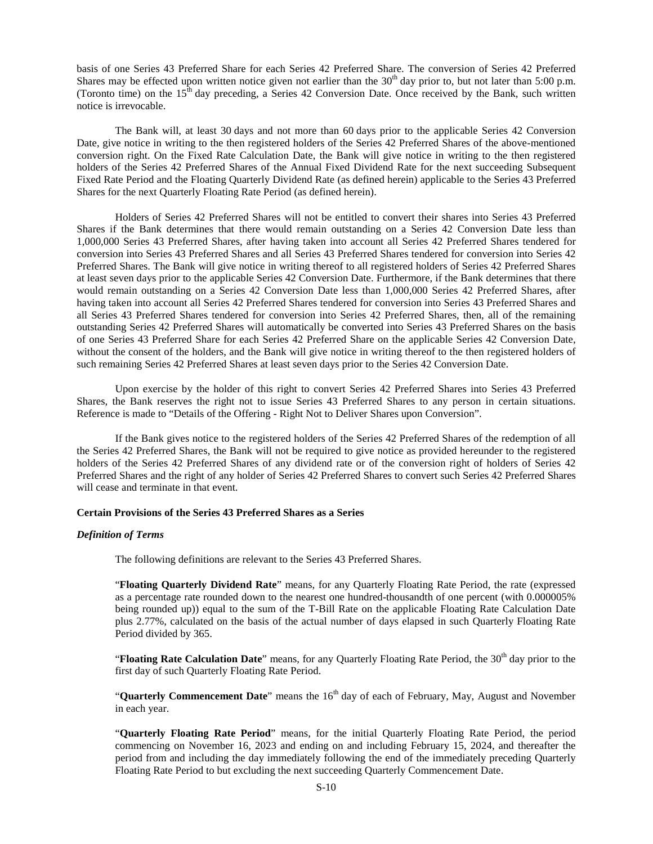basis of one Series 43 Preferred Share for each Series 42 Preferred Share. The conversion of Series 42 Preferred Shares may be effected upon written notice given not earlier than the  $30<sup>th</sup>$  day prior to, but not later than 5:00 p.m. (Toronto time) on the 15<sup>th</sup> day preceding, a Series 42 Conversion Date. Once received by the Bank, such written notice is irrevocable.

The Bank will, at least 30 days and not more than 60 days prior to the applicable Series 42 Conversion Date, give notice in writing to the then registered holders of the Series 42 Preferred Shares of the above-mentioned conversion right. On the Fixed Rate Calculation Date, the Bank will give notice in writing to the then registered holders of the Series 42 Preferred Shares of the Annual Fixed Dividend Rate for the next succeeding Subsequent Fixed Rate Period and the Floating Quarterly Dividend Rate (as defined herein) applicable to the Series 43 Preferred Shares for the next Quarterly Floating Rate Period (as defined herein).

Holders of Series 42 Preferred Shares will not be entitled to convert their shares into Series 43 Preferred Shares if the Bank determines that there would remain outstanding on a Series 42 Conversion Date less than 1,000,000 Series 43 Preferred Shares, after having taken into account all Series 42 Preferred Shares tendered for conversion into Series 43 Preferred Shares and all Series 43 Preferred Shares tendered for conversion into Series 42 Preferred Shares. The Bank will give notice in writing thereof to all registered holders of Series 42 Preferred Shares at least seven days prior to the applicable Series 42 Conversion Date. Furthermore, if the Bank determines that there would remain outstanding on a Series 42 Conversion Date less than 1,000,000 Series 42 Preferred Shares, after having taken into account all Series 42 Preferred Shares tendered for conversion into Series 43 Preferred Shares and all Series 43 Preferred Shares tendered for conversion into Series 42 Preferred Shares, then, all of the remaining outstanding Series 42 Preferred Shares will automatically be converted into Series 43 Preferred Shares on the basis of one Series 43 Preferred Share for each Series 42 Preferred Share on the applicable Series 42 Conversion Date, without the consent of the holders, and the Bank will give notice in writing thereof to the then registered holders of such remaining Series 42 Preferred Shares at least seven days prior to the Series 42 Conversion Date.

Upon exercise by the holder of this right to convert Series 42 Preferred Shares into Series 43 Preferred Shares, the Bank reserves the right not to issue Series 43 Preferred Shares to any person in certain situations. Reference is made to "Details of the Offering - Right Not to Deliver Shares upon Conversion".

If the Bank gives notice to the registered holders of the Series 42 Preferred Shares of the redemption of all the Series 42 Preferred Shares, the Bank will not be required to give notice as provided hereunder to the registered holders of the Series 42 Preferred Shares of any dividend rate or of the conversion right of holders of Series 42 Preferred Shares and the right of any holder of Series 42 Preferred Shares to convert such Series 42 Preferred Shares will cease and terminate in that event.

# **Certain Provisions of the Series 43 Preferred Shares as a Series**

#### *Definition of Terms*

The following definitions are relevant to the Series 43 Preferred Shares.

"**Floating Quarterly Dividend Rate**" means, for any Quarterly Floating Rate Period, the rate (expressed as a percentage rate rounded down to the nearest one hundred-thousandth of one percent (with 0.000005% being rounded up)) equal to the sum of the T-Bill Rate on the applicable Floating Rate Calculation Date plus 2.77%, calculated on the basis of the actual number of days elapsed in such Quarterly Floating Rate Period divided by 365.

"**Floating Rate Calculation Date**" means, for any Quarterly Floating Rate Period, the 30<sup>th</sup> day prior to the first day of such Quarterly Floating Rate Period.

"**Quarterly Commencement Date**" means the 16<sup>th</sup> day of each of February, May, August and November in each year.

"**Quarterly Floating Rate Period**" means, for the initial Quarterly Floating Rate Period, the period commencing on November 16, 2023 and ending on and including February 15, 2024, and thereafter the period from and including the day immediately following the end of the immediately preceding Quarterly Floating Rate Period to but excluding the next succeeding Quarterly Commencement Date.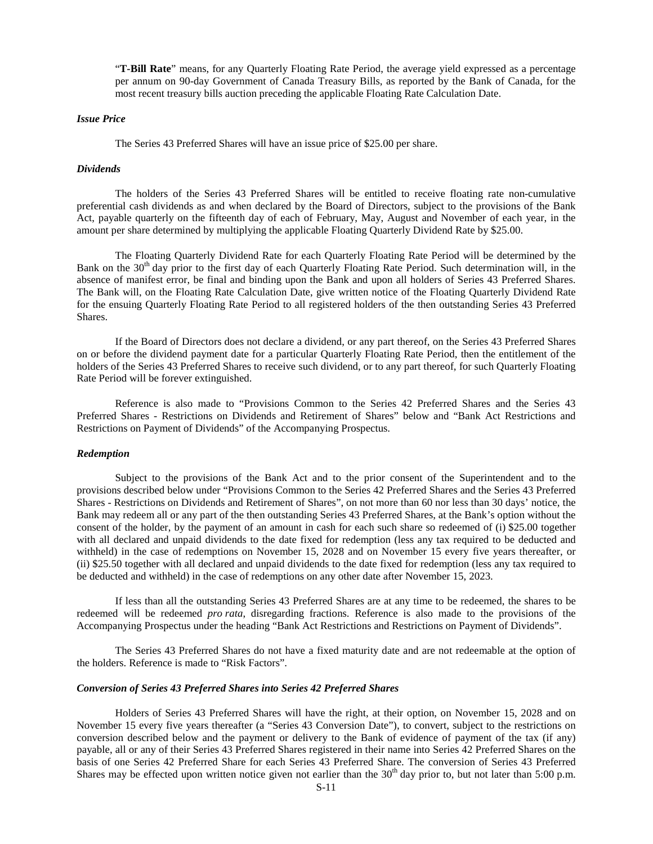"**T-Bill Rate**" means, for any Quarterly Floating Rate Period, the average yield expressed as a percentage per annum on 90-day Government of Canada Treasury Bills, as reported by the Bank of Canada, for the most recent treasury bills auction preceding the applicable Floating Rate Calculation Date.

# *Issue Price*

The Series 43 Preferred Shares will have an issue price of \$25.00 per share.

#### *Dividends*

The holders of the Series 43 Preferred Shares will be entitled to receive floating rate non-cumulative preferential cash dividends as and when declared by the Board of Directors, subject to the provisions of the Bank Act, payable quarterly on the fifteenth day of each of February, May, August and November of each year, in the amount per share determined by multiplying the applicable Floating Quarterly Dividend Rate by \$25.00.

The Floating Quarterly Dividend Rate for each Quarterly Floating Rate Period will be determined by the Bank on the 30<sup>th</sup> day prior to the first day of each Quarterly Floating Rate Period. Such determination will, in the absence of manifest error, be final and binding upon the Bank and upon all holders of Series 43 Preferred Shares. The Bank will, on the Floating Rate Calculation Date, give written notice of the Floating Quarterly Dividend Rate for the ensuing Quarterly Floating Rate Period to all registered holders of the then outstanding Series 43 Preferred Shares.

If the Board of Directors does not declare a dividend, or any part thereof, on the Series 43 Preferred Shares on or before the dividend payment date for a particular Quarterly Floating Rate Period, then the entitlement of the holders of the Series 43 Preferred Shares to receive such dividend, or to any part thereof, for such Quarterly Floating Rate Period will be forever extinguished.

Reference is also made to "Provisions Common to the Series 42 Preferred Shares and the Series 43 Preferred Shares - Restrictions on Dividends and Retirement of Shares" below and "Bank Act Restrictions and Restrictions on Payment of Dividends" of the Accompanying Prospectus.

#### *Redemption*

Subject to the provisions of the Bank Act and to the prior consent of the Superintendent and to the provisions described below under "Provisions Common to the Series 42 Preferred Shares and the Series 43 Preferred Shares - Restrictions on Dividends and Retirement of Shares", on not more than 60 nor less than 30 days' notice, the Bank may redeem all or any part of the then outstanding Series 43 Preferred Shares, at the Bank's option without the consent of the holder, by the payment of an amount in cash for each such share so redeemed of (i) \$25.00 together with all declared and unpaid dividends to the date fixed for redemption (less any tax required to be deducted and withheld) in the case of redemptions on November 15, 2028 and on November 15 every five years thereafter, or (ii) \$25.50 together with all declared and unpaid dividends to the date fixed for redemption (less any tax required to be deducted and withheld) in the case of redemptions on any other date after November 15, 2023.

If less than all the outstanding Series 43 Preferred Shares are at any time to be redeemed, the shares to be redeemed will be redeemed *pro rata*, disregarding fractions. Reference is also made to the provisions of the Accompanying Prospectus under the heading "Bank Act Restrictions and Restrictions on Payment of Dividends".

The Series 43 Preferred Shares do not have a fixed maturity date and are not redeemable at the option of the holders. Reference is made to "Risk Factors".

#### *Conversion of Series 43 Preferred Shares into Series 42 Preferred Shares*

Holders of Series 43 Preferred Shares will have the right, at their option, on November 15, 2028 and on November 15 every five years thereafter (a "Series 43 Conversion Date"), to convert, subject to the restrictions on conversion described below and the payment or delivery to the Bank of evidence of payment of the tax (if any) payable, all or any of their Series 43 Preferred Shares registered in their name into Series 42 Preferred Shares on the basis of one Series 42 Preferred Share for each Series 43 Preferred Share. The conversion of Series 43 Preferred Shares may be effected upon written notice given not earlier than the  $30<sup>th</sup>$  day prior to, but not later than 5:00 p.m.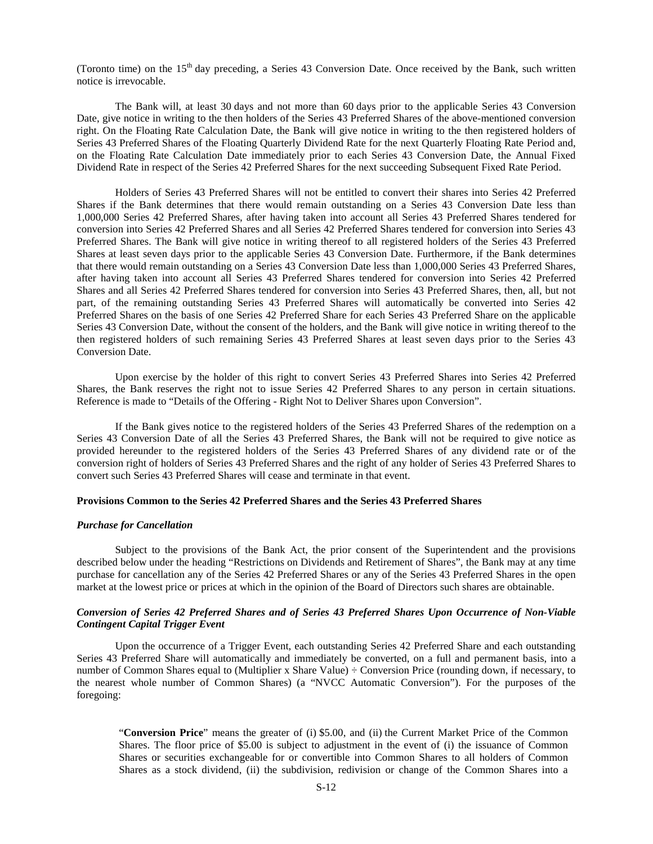(Toronto time) on the 15<sup>th</sup> day preceding, a Series 43 Conversion Date. Once received by the Bank, such written notice is irrevocable.

The Bank will, at least 30 days and not more than 60 days prior to the applicable Series 43 Conversion Date, give notice in writing to the then holders of the Series 43 Preferred Shares of the above-mentioned conversion right. On the Floating Rate Calculation Date, the Bank will give notice in writing to the then registered holders of Series 43 Preferred Shares of the Floating Quarterly Dividend Rate for the next Quarterly Floating Rate Period and, on the Floating Rate Calculation Date immediately prior to each Series 43 Conversion Date, the Annual Fixed Dividend Rate in respect of the Series 42 Preferred Shares for the next succeeding Subsequent Fixed Rate Period.

Holders of Series 43 Preferred Shares will not be entitled to convert their shares into Series 42 Preferred Shares if the Bank determines that there would remain outstanding on a Series 43 Conversion Date less than 1,000,000 Series 42 Preferred Shares, after having taken into account all Series 43 Preferred Shares tendered for conversion into Series 42 Preferred Shares and all Series 42 Preferred Shares tendered for conversion into Series 43 Preferred Shares. The Bank will give notice in writing thereof to all registered holders of the Series 43 Preferred Shares at least seven days prior to the applicable Series 43 Conversion Date. Furthermore, if the Bank determines that there would remain outstanding on a Series 43 Conversion Date less than 1,000,000 Series 43 Preferred Shares, after having taken into account all Series 43 Preferred Shares tendered for conversion into Series 42 Preferred Shares and all Series 42 Preferred Shares tendered for conversion into Series 43 Preferred Shares, then, all, but not part, of the remaining outstanding Series 43 Preferred Shares will automatically be converted into Series 42 Preferred Shares on the basis of one Series 42 Preferred Share for each Series 43 Preferred Share on the applicable Series 43 Conversion Date, without the consent of the holders, and the Bank will give notice in writing thereof to the then registered holders of such remaining Series 43 Preferred Shares at least seven days prior to the Series 43 Conversion Date.

Upon exercise by the holder of this right to convert Series 43 Preferred Shares into Series 42 Preferred Shares, the Bank reserves the right not to issue Series 42 Preferred Shares to any person in certain situations. Reference is made to "Details of the Offering - Right Not to Deliver Shares upon Conversion".

If the Bank gives notice to the registered holders of the Series 43 Preferred Shares of the redemption on a Series 43 Conversion Date of all the Series 43 Preferred Shares, the Bank will not be required to give notice as provided hereunder to the registered holders of the Series 43 Preferred Shares of any dividend rate or of the conversion right of holders of Series 43 Preferred Shares and the right of any holder of Series 43 Preferred Shares to convert such Series 43 Preferred Shares will cease and terminate in that event.

#### **Provisions Common to the Series 42 Preferred Shares and the Series 43 Preferred Shares**

#### *Purchase for Cancellation*

Subject to the provisions of the Bank Act, the prior consent of the Superintendent and the provisions described below under the heading "Restrictions on Dividends and Retirement of Shares", the Bank may at any time purchase for cancellation any of the Series 42 Preferred Shares or any of the Series 43 Preferred Shares in the open market at the lowest price or prices at which in the opinion of the Board of Directors such shares are obtainable.

# *Conversion of Series 42 Preferred Shares and of Series 43 Preferred Shares Upon Occurrence of Non-Viable Contingent Capital Trigger Event*

Upon the occurrence of a Trigger Event, each outstanding Series 42 Preferred Share and each outstanding Series 43 Preferred Share will automatically and immediately be converted, on a full and permanent basis, into a number of Common Shares equal to (Multiplier x Share Value) ÷ Conversion Price (rounding down, if necessary, to the nearest whole number of Common Shares) (a "NVCC Automatic Conversion"). For the purposes of the foregoing:

"**Conversion Price**" means the greater of (i) \$5.00, and (ii) the Current Market Price of the Common Shares. The floor price of \$5.00 is subject to adjustment in the event of (i) the issuance of Common Shares or securities exchangeable for or convertible into Common Shares to all holders of Common Shares as a stock dividend, (ii) the subdivision, redivision or change of the Common Shares into a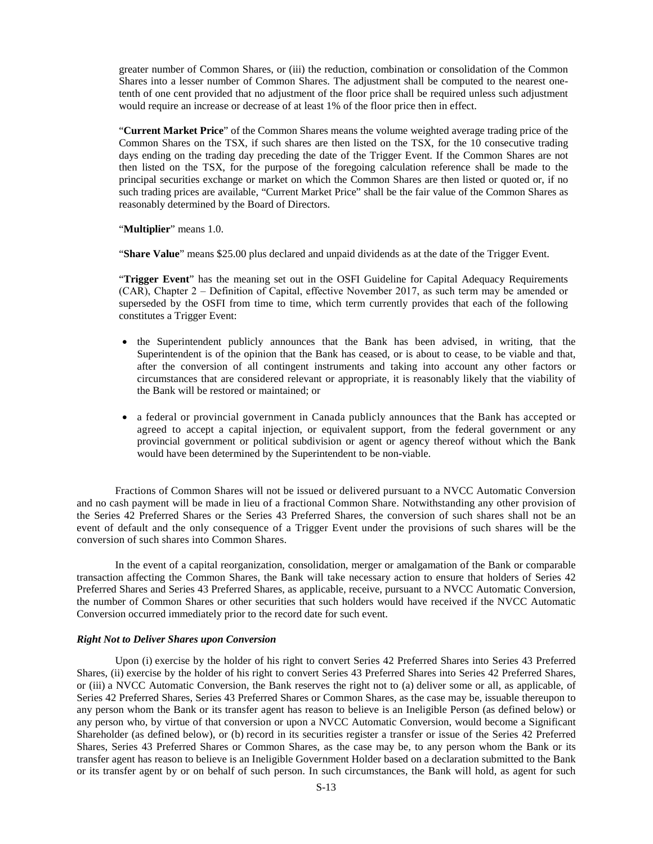greater number of Common Shares, or (iii) the reduction, combination or consolidation of the Common Shares into a lesser number of Common Shares. The adjustment shall be computed to the nearest onetenth of one cent provided that no adjustment of the floor price shall be required unless such adjustment would require an increase or decrease of at least 1% of the floor price then in effect.

"**Current Market Price**" of the Common Shares means the volume weighted average trading price of the Common Shares on the TSX, if such shares are then listed on the TSX, for the 10 consecutive trading days ending on the trading day preceding the date of the Trigger Event. If the Common Shares are not then listed on the TSX, for the purpose of the foregoing calculation reference shall be made to the principal securities exchange or market on which the Common Shares are then listed or quoted or, if no such trading prices are available, "Current Market Price" shall be the fair value of the Common Shares as reasonably determined by the Board of Directors.

"**Multiplier**" means 1.0.

"**Share Value**" means \$25.00 plus declared and unpaid dividends as at the date of the Trigger Event.

"**Trigger Event**" has the meaning set out in the OSFI Guideline for Capital Adequacy Requirements (CAR), Chapter 2 ‒ Definition of Capital, effective November 2017, as such term may be amended or superseded by the OSFI from time to time, which term currently provides that each of the following constitutes a Trigger Event:

- the Superintendent publicly announces that the Bank has been advised, in writing, that the Superintendent is of the opinion that the Bank has ceased, or is about to cease, to be viable and that, after the conversion of all contingent instruments and taking into account any other factors or circumstances that are considered relevant or appropriate, it is reasonably likely that the viability of the Bank will be restored or maintained; or
- a federal or provincial government in Canada publicly announces that the Bank has accepted or agreed to accept a capital injection, or equivalent support, from the federal government or any provincial government or political subdivision or agent or agency thereof without which the Bank would have been determined by the Superintendent to be non-viable.

Fractions of Common Shares will not be issued or delivered pursuant to a NVCC Automatic Conversion and no cash payment will be made in lieu of a fractional Common Share. Notwithstanding any other provision of the Series 42 Preferred Shares or the Series 43 Preferred Shares, the conversion of such shares shall not be an event of default and the only consequence of a Trigger Event under the provisions of such shares will be the conversion of such shares into Common Shares.

In the event of a capital reorganization, consolidation, merger or amalgamation of the Bank or comparable transaction affecting the Common Shares, the Bank will take necessary action to ensure that holders of Series 42 Preferred Shares and Series 43 Preferred Shares, as applicable, receive, pursuant to a NVCC Automatic Conversion, the number of Common Shares or other securities that such holders would have received if the NVCC Automatic Conversion occurred immediately prior to the record date for such event.

# *Right Not to Deliver Shares upon Conversion*

Upon (i) exercise by the holder of his right to convert Series 42 Preferred Shares into Series 43 Preferred Shares, (ii) exercise by the holder of his right to convert Series 43 Preferred Shares into Series 42 Preferred Shares, or (iii) a NVCC Automatic Conversion, the Bank reserves the right not to (a) deliver some or all, as applicable, of Series 42 Preferred Shares, Series 43 Preferred Shares or Common Shares, as the case may be, issuable thereupon to any person whom the Bank or its transfer agent has reason to believe is an Ineligible Person (as defined below) or any person who, by virtue of that conversion or upon a NVCC Automatic Conversion, would become a Significant Shareholder (as defined below), or (b) record in its securities register a transfer or issue of the Series 42 Preferred Shares, Series 43 Preferred Shares or Common Shares, as the case may be, to any person whom the Bank or its transfer agent has reason to believe is an Ineligible Government Holder based on a declaration submitted to the Bank or its transfer agent by or on behalf of such person. In such circumstances, the Bank will hold, as agent for such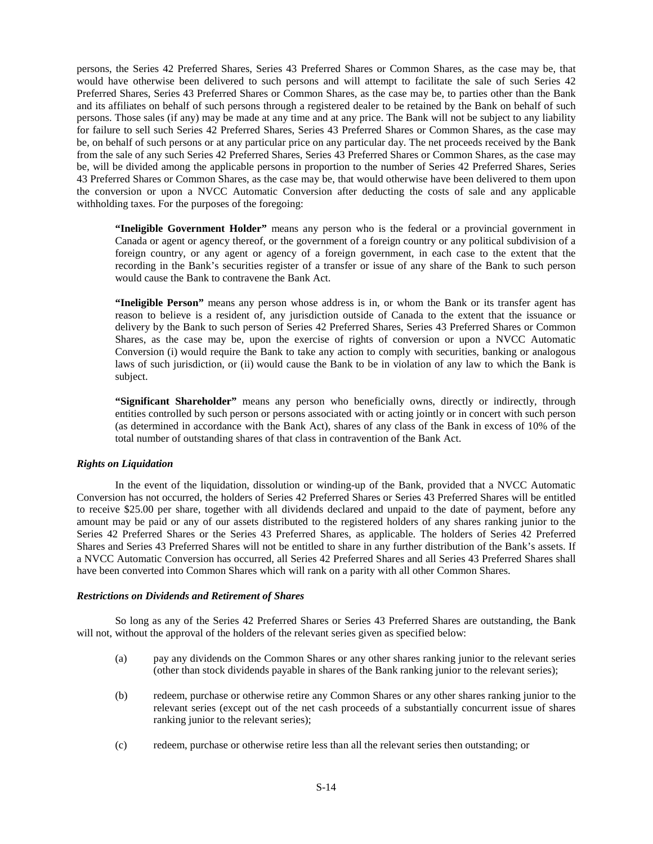persons, the Series 42 Preferred Shares, Series 43 Preferred Shares or Common Shares, as the case may be, that would have otherwise been delivered to such persons and will attempt to facilitate the sale of such Series 42 Preferred Shares, Series 43 Preferred Shares or Common Shares, as the case may be, to parties other than the Bank and its affiliates on behalf of such persons through a registered dealer to be retained by the Bank on behalf of such persons. Those sales (if any) may be made at any time and at any price. The Bank will not be subject to any liability for failure to sell such Series 42 Preferred Shares, Series 43 Preferred Shares or Common Shares, as the case may be, on behalf of such persons or at any particular price on any particular day. The net proceeds received by the Bank from the sale of any such Series 42 Preferred Shares, Series 43 Preferred Shares or Common Shares, as the case may be, will be divided among the applicable persons in proportion to the number of Series 42 Preferred Shares, Series 43 Preferred Shares or Common Shares, as the case may be, that would otherwise have been delivered to them upon the conversion or upon a NVCC Automatic Conversion after deducting the costs of sale and any applicable withholding taxes. For the purposes of the foregoing:

**"Ineligible Government Holder"** means any person who is the federal or a provincial government in Canada or agent or agency thereof, or the government of a foreign country or any political subdivision of a foreign country, or any agent or agency of a foreign government, in each case to the extent that the recording in the Bank's securities register of a transfer or issue of any share of the Bank to such person would cause the Bank to contravene the Bank Act.

**"Ineligible Person"** means any person whose address is in, or whom the Bank or its transfer agent has reason to believe is a resident of, any jurisdiction outside of Canada to the extent that the issuance or delivery by the Bank to such person of Series 42 Preferred Shares, Series 43 Preferred Shares or Common Shares, as the case may be, upon the exercise of rights of conversion or upon a NVCC Automatic Conversion (i) would require the Bank to take any action to comply with securities, banking or analogous laws of such jurisdiction, or (ii) would cause the Bank to be in violation of any law to which the Bank is subject.

**"Significant Shareholder"** means any person who beneficially owns, directly or indirectly, through entities controlled by such person or persons associated with or acting jointly or in concert with such person (as determined in accordance with the Bank Act), shares of any class of the Bank in excess of 10% of the total number of outstanding shares of that class in contravention of the Bank Act.

# *Rights on Liquidation*

In the event of the liquidation, dissolution or winding-up of the Bank, provided that a NVCC Automatic Conversion has not occurred, the holders of Series 42 Preferred Shares or Series 43 Preferred Shares will be entitled to receive \$25.00 per share, together with all dividends declared and unpaid to the date of payment, before any amount may be paid or any of our assets distributed to the registered holders of any shares ranking junior to the Series 42 Preferred Shares or the Series 43 Preferred Shares, as applicable. The holders of Series 42 Preferred Shares and Series 43 Preferred Shares will not be entitled to share in any further distribution of the Bank's assets. If a NVCC Automatic Conversion has occurred, all Series 42 Preferred Shares and all Series 43 Preferred Shares shall have been converted into Common Shares which will rank on a parity with all other Common Shares.

# *Restrictions on Dividends and Retirement of Shares*

So long as any of the Series 42 Preferred Shares or Series 43 Preferred Shares are outstanding, the Bank will not, without the approval of the holders of the relevant series given as specified below:

- (a) pay any dividends on the Common Shares or any other shares ranking junior to the relevant series (other than stock dividends payable in shares of the Bank ranking junior to the relevant series);
- (b) redeem, purchase or otherwise retire any Common Shares or any other shares ranking junior to the relevant series (except out of the net cash proceeds of a substantially concurrent issue of shares ranking junior to the relevant series);
- (c) redeem, purchase or otherwise retire less than all the relevant series then outstanding; or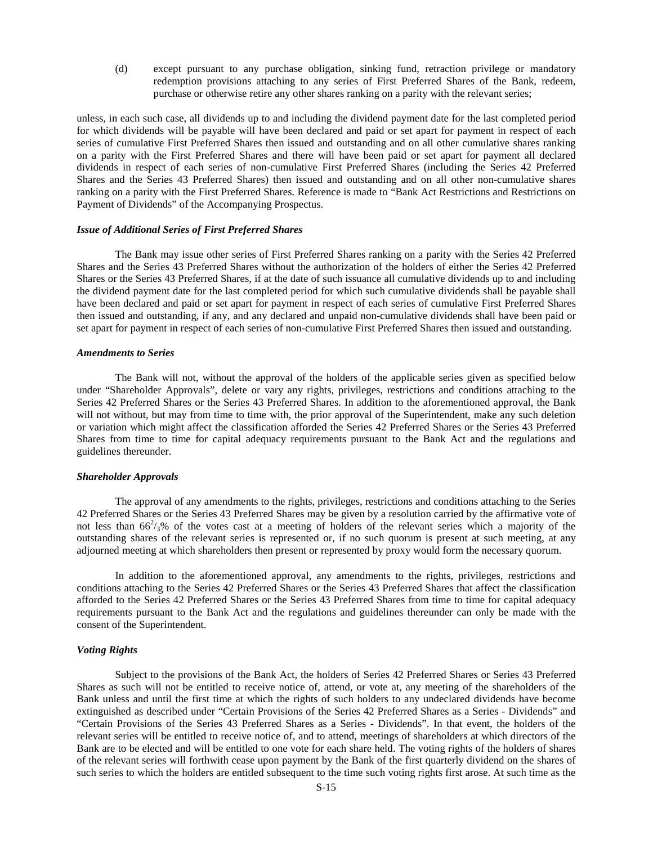(d) except pursuant to any purchase obligation, sinking fund, retraction privilege or mandatory redemption provisions attaching to any series of First Preferred Shares of the Bank, redeem, purchase or otherwise retire any other shares ranking on a parity with the relevant series;

unless, in each such case, all dividends up to and including the dividend payment date for the last completed period for which dividends will be payable will have been declared and paid or set apart for payment in respect of each series of cumulative First Preferred Shares then issued and outstanding and on all other cumulative shares ranking on a parity with the First Preferred Shares and there will have been paid or set apart for payment all declared dividends in respect of each series of non-cumulative First Preferred Shares (including the Series 42 Preferred Shares and the Series 43 Preferred Shares) then issued and outstanding and on all other non-cumulative shares ranking on a parity with the First Preferred Shares. Reference is made to "Bank Act Restrictions and Restrictions on Payment of Dividends" of the Accompanying Prospectus.

#### *Issue of Additional Series of First Preferred Shares*

The Bank may issue other series of First Preferred Shares ranking on a parity with the Series 42 Preferred Shares and the Series 43 Preferred Shares without the authorization of the holders of either the Series 42 Preferred Shares or the Series 43 Preferred Shares, if at the date of such issuance all cumulative dividends up to and including the dividend payment date for the last completed period for which such cumulative dividends shall be payable shall have been declared and paid or set apart for payment in respect of each series of cumulative First Preferred Shares then issued and outstanding, if any, and any declared and unpaid non-cumulative dividends shall have been paid or set apart for payment in respect of each series of non-cumulative First Preferred Shares then issued and outstanding.

#### *Amendments to Series*

The Bank will not, without the approval of the holders of the applicable series given as specified below under "Shareholder Approvals", delete or vary any rights, privileges, restrictions and conditions attaching to the Series 42 Preferred Shares or the Series 43 Preferred Shares. In addition to the aforementioned approval, the Bank will not without, but may from time to time with, the prior approval of the Superintendent, make any such deletion or variation which might affect the classification afforded the Series 42 Preferred Shares or the Series 43 Preferred Shares from time to time for capital adequacy requirements pursuant to the Bank Act and the regulations and guidelines thereunder.

#### *Shareholder Approvals*

The approval of any amendments to the rights, privileges, restrictions and conditions attaching to the Series 42 Preferred Shares or the Series 43 Preferred Shares may be given by a resolution carried by the affirmative vote of not less than  $66^2/3\%$  of the votes cast at a meeting of holders of the relevant series which a majority of the outstanding shares of the relevant series is represented or, if no such quorum is present at such meeting, at any adjourned meeting at which shareholders then present or represented by proxy would form the necessary quorum.

In addition to the aforementioned approval, any amendments to the rights, privileges, restrictions and conditions attaching to the Series 42 Preferred Shares or the Series 43 Preferred Shares that affect the classification afforded to the Series 42 Preferred Shares or the Series 43 Preferred Shares from time to time for capital adequacy requirements pursuant to the Bank Act and the regulations and guidelines thereunder can only be made with the consent of the Superintendent.

# *Voting Rights*

Subject to the provisions of the Bank Act, the holders of Series 42 Preferred Shares or Series 43 Preferred Shares as such will not be entitled to receive notice of, attend, or vote at, any meeting of the shareholders of the Bank unless and until the first time at which the rights of such holders to any undeclared dividends have become extinguished as described under "Certain Provisions of the Series 42 Preferred Shares as a Series - Dividends" and "Certain Provisions of the Series 43 Preferred Shares as a Series - Dividends". In that event, the holders of the relevant series will be entitled to receive notice of, and to attend, meetings of shareholders at which directors of the Bank are to be elected and will be entitled to one vote for each share held. The voting rights of the holders of shares of the relevant series will forthwith cease upon payment by the Bank of the first quarterly dividend on the shares of such series to which the holders are entitled subsequent to the time such voting rights first arose. At such time as the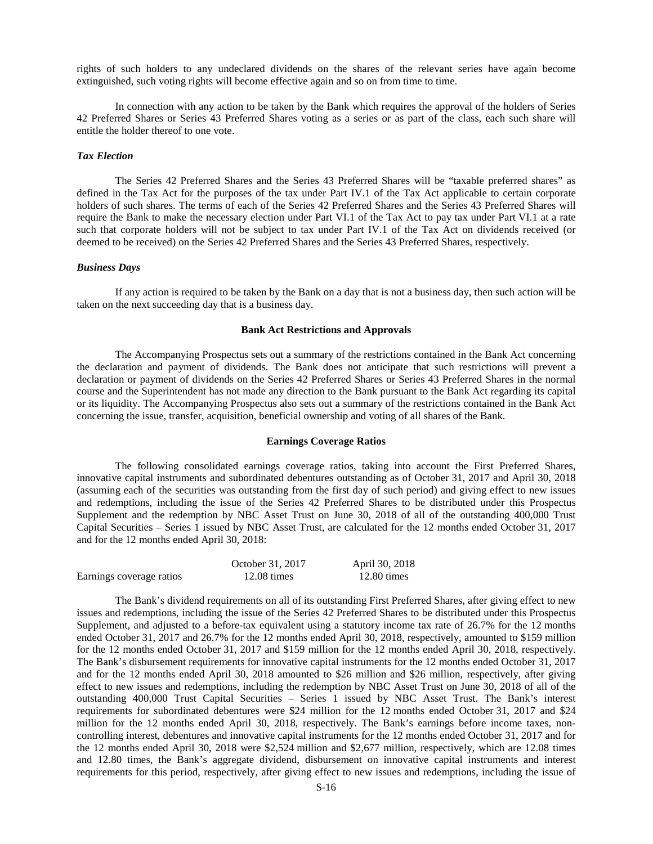rights of such holders to any undeclared dividends on the shares of the relevant series have again become extinguished, such voting rights will become effective again and so on from time to time.

In connection with any action to be taken by the Bank which requires the approval of the holders of Series 42 Preferred Shares or Series 43 Preferred Shares voting as a series or as part of the class, each such share will entitle the holder thereof to one vote.

# *Tax Election*

The Series 42 Preferred Shares and the Series 43 Preferred Shares will be "taxable preferred shares" as defined in the Tax Act for the purposes of the tax under Part IV.1 of the Tax Act applicable to certain corporate holders of such shares. The terms of each of the Series 42 Preferred Shares and the Series 43 Preferred Shares will require the Bank to make the necessary election under Part VI.1 of the Tax Act to pay tax under Part VI.1 at a rate such that corporate holders will not be subject to tax under Part IV.1 of the Tax Act on dividends received (or deemed to be received) on the Series 42 Preferred Shares and the Series 43 Preferred Shares, respectively.

#### *Business Days*

If any action is required to be taken by the Bank on a day that is not a business day, then such action will be taken on the next succeeding day that is a business day.

## <span id="page-15-0"></span>**Bank Act Restrictions and Approvals**

The Accompanying Prospectus sets out a summary of the restrictions contained in the Bank Act concerning the declaration and payment of dividends. The Bank does not anticipate that such restrictions will prevent a declaration or payment of dividends on the Series 42 Preferred Shares or Series 43 Preferred Shares in the normal course and the Superintendent has not made any direction to the Bank pursuant to the Bank Act regarding its capital or its liquidity. The Accompanying Prospectus also sets out a summary of the restrictions contained in the Bank Act concerning the issue, transfer, acquisition, beneficial ownership and voting of all shares of the Bank.

#### <span id="page-15-1"></span>**Earnings Coverage Ratios**

The following consolidated earnings coverage ratios, taking into account the First Preferred Shares, innovative capital instruments and subordinated debentures outstanding as of October 31, 2017 and April 30, 2018 (assuming each of the securities was outstanding from the first day of such period) and giving effect to new issues and redemptions, including the issue of the Series 42 Preferred Shares to be distributed under this Prospectus Supplement and the redemption by NBC Asset Trust on June 30, 2018 of all of the outstanding 400,000 Trust Capital Securities – Series 1 issued by NBC Asset Trust, are calculated for the 12 months ended October 31, 2017 and for the 12 months ended April 30, 2018:

|                          | October 31, 2017      | April 30, 2018        |
|--------------------------|-----------------------|-----------------------|
| Earnings coverage ratios | $12.08 \text{ times}$ | $12.80 \text{ times}$ |

The Bank's dividend requirements on all of its outstanding First Preferred Shares, after giving effect to new issues and redemptions, including the issue of the Series 42 Preferred Shares to be distributed under this Prospectus Supplement, and adjusted to a before-tax equivalent using a statutory income tax rate of 26.7% for the 12 months ended October 31, 2017 and 26.7% for the 12 months ended April 30, 2018, respectively, amounted to \$159 million for the 12 months ended October 31, 2017 and \$159 million for the 12 months ended April 30, 2018, respectively. The Bank's disbursement requirements for innovative capital instruments for the 12 months ended October 31, 2017 and for the 12 months ended April 30, 2018 amounted to \$26 million and \$26 million, respectively, after giving effect to new issues and redemptions, including the redemption by NBC Asset Trust on June 30, 2018 of all of the outstanding 400,000 Trust Capital Securities – Series 1 issued by NBC Asset Trust. The Bank's interest requirements for subordinated debentures were \$24 million for the 12 months ended October 31, 2017 and \$24 million for the 12 months ended April 30, 2018, respectively. The Bank's earnings before income taxes, noncontrolling interest, debentures and innovative capital instruments for the 12 months ended October 31, 2017 and for the 12 months ended April 30, 2018 were \$2,524 million and \$2,677 million, respectively, which are 12.08 times and 12.80 times, the Bank's aggregate dividend, disbursement on innovative capital instruments and interest requirements for this period, respectively, after giving effect to new issues and redemptions, including the issue of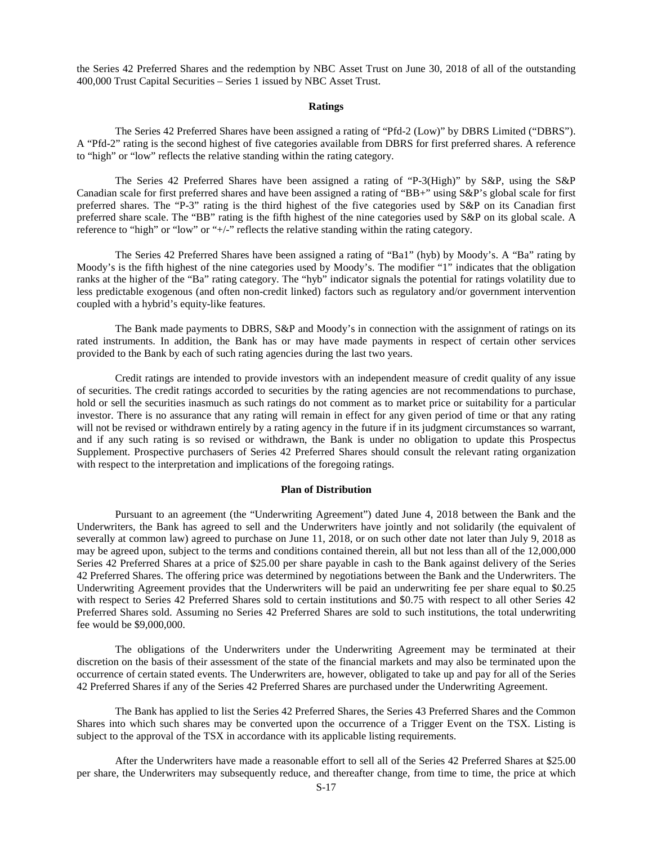the Series 42 Preferred Shares and the redemption by NBC Asset Trust on June 30, 2018 of all of the outstanding 400,000 Trust Capital Securities – Series 1 issued by NBC Asset Trust.

#### <span id="page-16-0"></span>**Ratings**

The Series 42 Preferred Shares have been assigned a rating of "Pfd-2 (Low)" by DBRS Limited ("DBRS"). A "Pfd-2" rating is the second highest of five categories available from DBRS for first preferred shares. A reference to "high" or "low" reflects the relative standing within the rating category.

The Series 42 Preferred Shares have been assigned a rating of "P-3(High)" by S&P, using the S&P Canadian scale for first preferred shares and have been assigned a rating of "BB+" using S&P's global scale for first preferred shares. The "P-3" rating is the third highest of the five categories used by S&P on its Canadian first preferred share scale. The "BB" rating is the fifth highest of the nine categories used by S&P on its global scale. A reference to "high" or "low" or "+/-" reflects the relative standing within the rating category.

The Series 42 Preferred Shares have been assigned a rating of "Ba1" (hyb) by Moody's. A "Ba" rating by Moody's is the fifth highest of the nine categories used by Moody's. The modifier "1" indicates that the obligation ranks at the higher of the "Ba" rating category. The "hyb" indicator signals the potential for ratings volatility due to less predictable exogenous (and often non-credit linked) factors such as regulatory and/or government intervention coupled with a hybrid's equity-like features.

The Bank made payments to DBRS, S&P and Moody's in connection with the assignment of ratings on its rated instruments. In addition, the Bank has or may have made payments in respect of certain other services provided to the Bank by each of such rating agencies during the last two years.

Credit ratings are intended to provide investors with an independent measure of credit quality of any issue of securities. The credit ratings accorded to securities by the rating agencies are not recommendations to purchase, hold or sell the securities inasmuch as such ratings do not comment as to market price or suitability for a particular investor. There is no assurance that any rating will remain in effect for any given period of time or that any rating will not be revised or withdrawn entirely by a rating agency in the future if in its judgment circumstances so warrant, and if any such rating is so revised or withdrawn, the Bank is under no obligation to update this Prospectus Supplement. Prospective purchasers of Series 42 Preferred Shares should consult the relevant rating organization with respect to the interpretation and implications of the foregoing ratings.

#### <span id="page-16-1"></span>**Plan of Distribution**

Pursuant to an agreement (the "Underwriting Agreement") dated June 4, 2018 between the Bank and the Underwriters, the Bank has agreed to sell and the Underwriters have jointly and not solidarily (the equivalent of severally at common law) agreed to purchase on June 11, 2018, or on such other date not later than July 9, 2018 as may be agreed upon, subject to the terms and conditions contained therein, all but not less than all of the 12,000,000 Series 42 Preferred Shares at a price of \$25.00 per share payable in cash to the Bank against delivery of the Series 42 Preferred Shares. The offering price was determined by negotiations between the Bank and the Underwriters. The Underwriting Agreement provides that the Underwriters will be paid an underwriting fee per share equal to \$0.25 with respect to Series 42 Preferred Shares sold to certain institutions and \$0.75 with respect to all other Series 42 Preferred Shares sold. Assuming no Series 42 Preferred Shares are sold to such institutions, the total underwriting fee would be \$9,000,000.

The obligations of the Underwriters under the Underwriting Agreement may be terminated at their discretion on the basis of their assessment of the state of the financial markets and may also be terminated upon the occurrence of certain stated events. The Underwriters are, however, obligated to take up and pay for all of the Series 42 Preferred Shares if any of the Series 42 Preferred Shares are purchased under the Underwriting Agreement.

The Bank has applied to list the Series 42 Preferred Shares, the Series 43 Preferred Shares and the Common Shares into which such shares may be converted upon the occurrence of a Trigger Event on the TSX. Listing is subject to the approval of the TSX in accordance with its applicable listing requirements.

After the Underwriters have made a reasonable effort to sell all of the Series 42 Preferred Shares at \$25.00 per share, the Underwriters may subsequently reduce, and thereafter change, from time to time, the price at which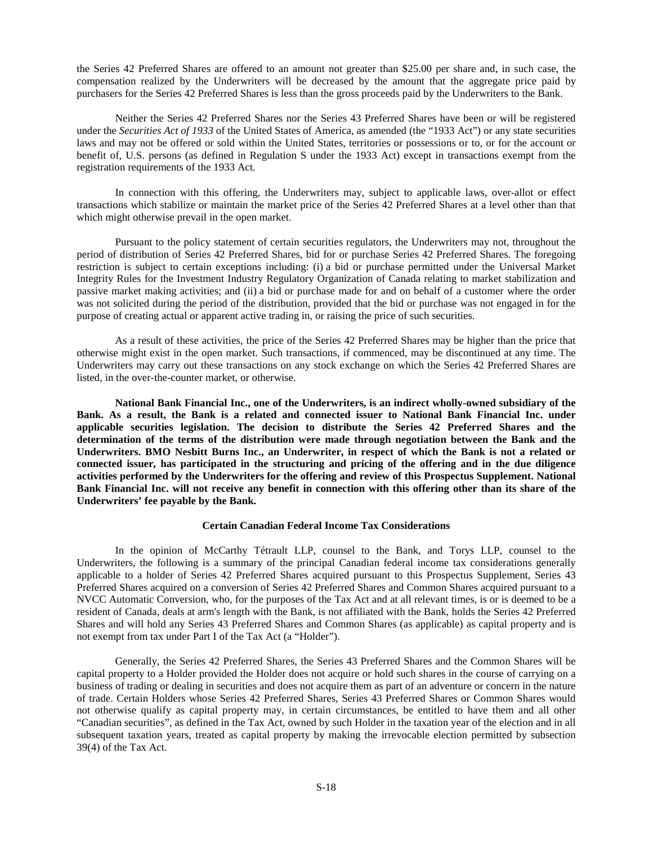the Series 42 Preferred Shares are offered to an amount not greater than \$25.00 per share and, in such case, the compensation realized by the Underwriters will be decreased by the amount that the aggregate price paid by purchasers for the Series 42 Preferred Shares is less than the gross proceeds paid by the Underwriters to the Bank.

Neither the Series 42 Preferred Shares nor the Series 43 Preferred Shares have been or will be registered under the *Securities Act of 1933* of the United States of America, as amended (the "1933 Act") or any state securities laws and may not be offered or sold within the United States, territories or possessions or to, or for the account or benefit of, U.S. persons (as defined in Regulation S under the 1933 Act) except in transactions exempt from the registration requirements of the 1933 Act.

In connection with this offering, the Underwriters may, subject to applicable laws, over-allot or effect transactions which stabilize or maintain the market price of the Series 42 Preferred Shares at a level other than that which might otherwise prevail in the open market.

Pursuant to the policy statement of certain securities regulators, the Underwriters may not, throughout the period of distribution of Series 42 Preferred Shares, bid for or purchase Series 42 Preferred Shares. The foregoing restriction is subject to certain exceptions including: (i) a bid or purchase permitted under the Universal Market Integrity Rules for the Investment Industry Regulatory Organization of Canada relating to market stabilization and passive market making activities; and (ii) a bid or purchase made for and on behalf of a customer where the order was not solicited during the period of the distribution, provided that the bid or purchase was not engaged in for the purpose of creating actual or apparent active trading in, or raising the price of such securities.

As a result of these activities, the price of the Series 42 Preferred Shares may be higher than the price that otherwise might exist in the open market. Such transactions, if commenced, may be discontinued at any time. The Underwriters may carry out these transactions on any stock exchange on which the Series 42 Preferred Shares are listed, in the over-the-counter market, or otherwise.

**National Bank Financial Inc., one of the Underwriters, is an indirect wholly-owned subsidiary of the Bank. As a result, the Bank is a related and connected issuer to National Bank Financial Inc. under applicable securities legislation. The decision to distribute the Series 42 Preferred Shares and the determination of the terms of the distribution were made through negotiation between the Bank and the Underwriters. BMO Nesbitt Burns Inc., an Underwriter, in respect of which the Bank is not a related or connected issuer, has participated in the structuring and pricing of the offering and in the due diligence activities performed by the Underwriters for the offering and review of this Prospectus Supplement. National Bank Financial Inc. will not receive any benefit in connection with this offering other than its share of the Underwriters' fee payable by the Bank.**

# <span id="page-17-0"></span>**Certain Canadian Federal Income Tax Considerations**

In the opinion of McCarthy Tétrault LLP, counsel to the Bank, and Torys LLP, counsel to the Underwriters, the following is a summary of the principal Canadian federal income tax considerations generally applicable to a holder of Series 42 Preferred Shares acquired pursuant to this Prospectus Supplement, Series 43 Preferred Shares acquired on a conversion of Series 42 Preferred Shares and Common Shares acquired pursuant to a NVCC Automatic Conversion, who, for the purposes of the Tax Act and at all relevant times, is or is deemed to be a resident of Canada, deals at arm's length with the Bank, is not affiliated with the Bank, holds the Series 42 Preferred Shares and will hold any Series 43 Preferred Shares and Common Shares (as applicable) as capital property and is not exempt from tax under Part I of the Tax Act (a "Holder").

Generally, the Series 42 Preferred Shares, the Series 43 Preferred Shares and the Common Shares will be capital property to a Holder provided the Holder does not acquire or hold such shares in the course of carrying on a business of trading or dealing in securities and does not acquire them as part of an adventure or concern in the nature of trade. Certain Holders whose Series 42 Preferred Shares, Series 43 Preferred Shares or Common Shares would not otherwise qualify as capital property may, in certain circumstances, be entitled to have them and all other "Canadian securities", as defined in the Tax Act, owned by such Holder in the taxation year of the election and in all subsequent taxation years, treated as capital property by making the irrevocable election permitted by subsection 39(4) of the Tax Act.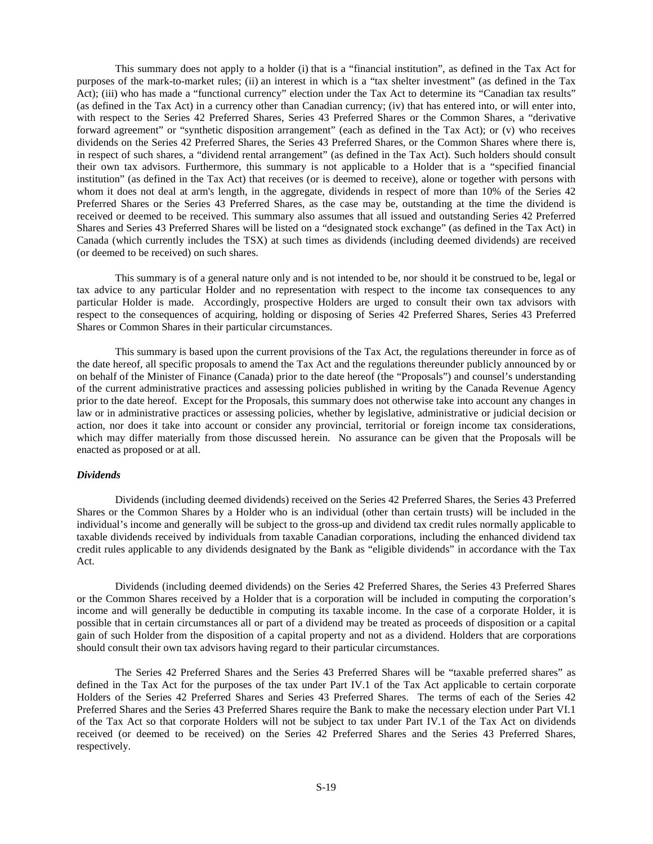This summary does not apply to a holder (i) that is a "financial institution", as defined in the Tax Act for purposes of the mark-to-market rules; (ii) an interest in which is a "tax shelter investment" (as defined in the Tax Act); (iii) who has made a "functional currency" election under the Tax Act to determine its "Canadian tax results" (as defined in the Tax Act) in a currency other than Canadian currency; (iv) that has entered into, or will enter into, with respect to the Series 42 Preferred Shares, Series 43 Preferred Shares or the Common Shares, a "derivative forward agreement" or "synthetic disposition arrangement" (each as defined in the Tax Act); or (v) who receives dividends on the Series 42 Preferred Shares, the Series 43 Preferred Shares, or the Common Shares where there is, in respect of such shares, a "dividend rental arrangement" (as defined in the Tax Act). Such holders should consult their own tax advisors. Furthermore, this summary is not applicable to a Holder that is a "specified financial institution" (as defined in the Tax Act) that receives (or is deemed to receive), alone or together with persons with whom it does not deal at arm's length, in the aggregate, dividends in respect of more than 10% of the Series 42 Preferred Shares or the Series 43 Preferred Shares, as the case may be, outstanding at the time the dividend is received or deemed to be received. This summary also assumes that all issued and outstanding Series 42 Preferred Shares and Series 43 Preferred Shares will be listed on a "designated stock exchange" (as defined in the Tax Act) in Canada (which currently includes the TSX) at such times as dividends (including deemed dividends) are received (or deemed to be received) on such shares.

This summary is of a general nature only and is not intended to be, nor should it be construed to be, legal or tax advice to any particular Holder and no representation with respect to the income tax consequences to any particular Holder is made. Accordingly, prospective Holders are urged to consult their own tax advisors with respect to the consequences of acquiring, holding or disposing of Series 42 Preferred Shares, Series 43 Preferred Shares or Common Shares in their particular circumstances.

This summary is based upon the current provisions of the Tax Act, the regulations thereunder in force as of the date hereof, all specific proposals to amend the Tax Act and the regulations thereunder publicly announced by or on behalf of the Minister of Finance (Canada) prior to the date hereof (the "Proposals") and counsel's understanding of the current administrative practices and assessing policies published in writing by the Canada Revenue Agency prior to the date hereof. Except for the Proposals, this summary does not otherwise take into account any changes in law or in administrative practices or assessing policies, whether by legislative, administrative or judicial decision or action, nor does it take into account or consider any provincial, territorial or foreign income tax considerations, which may differ materially from those discussed herein. No assurance can be given that the Proposals will be enacted as proposed or at all.

#### *Dividends*

Dividends (including deemed dividends) received on the Series 42 Preferred Shares, the Series 43 Preferred Shares or the Common Shares by a Holder who is an individual (other than certain trusts) will be included in the individual's income and generally will be subject to the gross-up and dividend tax credit rules normally applicable to taxable dividends received by individuals from taxable Canadian corporations, including the enhanced dividend tax credit rules applicable to any dividends designated by the Bank as "eligible dividends" in accordance with the Tax Act.

Dividends (including deemed dividends) on the Series 42 Preferred Shares, the Series 43 Preferred Shares or the Common Shares received by a Holder that is a corporation will be included in computing the corporation's income and will generally be deductible in computing its taxable income. In the case of a corporate Holder, it is possible that in certain circumstances all or part of a dividend may be treated as proceeds of disposition or a capital gain of such Holder from the disposition of a capital property and not as a dividend. Holders that are corporations should consult their own tax advisors having regard to their particular circumstances.

The Series 42 Preferred Shares and the Series 43 Preferred Shares will be "taxable preferred shares" as defined in the Tax Act for the purposes of the tax under Part IV.1 of the Tax Act applicable to certain corporate Holders of the Series 42 Preferred Shares and Series 43 Preferred Shares. The terms of each of the Series 42 Preferred Shares and the Series 43 Preferred Shares require the Bank to make the necessary election under Part VI.1 of the Tax Act so that corporate Holders will not be subject to tax under Part IV.1 of the Tax Act on dividends received (or deemed to be received) on the Series 42 Preferred Shares and the Series 43 Preferred Shares, respectively.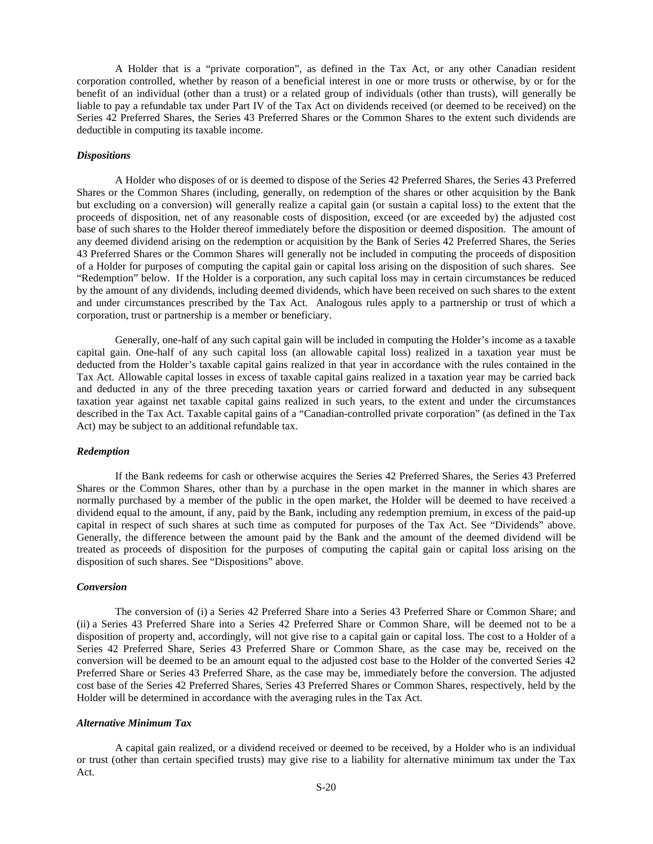A Holder that is a "private corporation", as defined in the Tax Act, or any other Canadian resident corporation controlled, whether by reason of a beneficial interest in one or more trusts or otherwise, by or for the benefit of an individual (other than a trust) or a related group of individuals (other than trusts), will generally be liable to pay a refundable tax under Part IV of the Tax Act on dividends received (or deemed to be received) on the Series 42 Preferred Shares, the Series 43 Preferred Shares or the Common Shares to the extent such dividends are deductible in computing its taxable income.

#### *Dispositions*

A Holder who disposes of or is deemed to dispose of the Series 42 Preferred Shares, the Series 43 Preferred Shares or the Common Shares (including, generally, on redemption of the shares or other acquisition by the Bank but excluding on a conversion) will generally realize a capital gain (or sustain a capital loss) to the extent that the proceeds of disposition, net of any reasonable costs of disposition, exceed (or are exceeded by) the adjusted cost base of such shares to the Holder thereof immediately before the disposition or deemed disposition. The amount of any deemed dividend arising on the redemption or acquisition by the Bank of Series 42 Preferred Shares, the Series 43 Preferred Shares or the Common Shares will generally not be included in computing the proceeds of disposition of a Holder for purposes of computing the capital gain or capital loss arising on the disposition of such shares. See "Redemption" below. If the Holder is a corporation, any such capital loss may in certain circumstances be reduced by the amount of any dividends, including deemed dividends, which have been received on such shares to the extent and under circumstances prescribed by the Tax Act. Analogous rules apply to a partnership or trust of which a corporation, trust or partnership is a member or beneficiary.

Generally, one-half of any such capital gain will be included in computing the Holder's income as a taxable capital gain. One-half of any such capital loss (an allowable capital loss) realized in a taxation year must be deducted from the Holder's taxable capital gains realized in that year in accordance with the rules contained in the Tax Act. Allowable capital losses in excess of taxable capital gains realized in a taxation year may be carried back and deducted in any of the three preceding taxation years or carried forward and deducted in any subsequent taxation year against net taxable capital gains realized in such years, to the extent and under the circumstances described in the Tax Act. Taxable capital gains of a "Canadian-controlled private corporation" (as defined in the Tax Act) may be subject to an additional refundable tax.

# *Redemption*

If the Bank redeems for cash or otherwise acquires the Series 42 Preferred Shares, the Series 43 Preferred Shares or the Common Shares, other than by a purchase in the open market in the manner in which shares are normally purchased by a member of the public in the open market, the Holder will be deemed to have received a dividend equal to the amount, if any, paid by the Bank, including any redemption premium, in excess of the paid-up capital in respect of such shares at such time as computed for purposes of the Tax Act. See "Dividends" above. Generally, the difference between the amount paid by the Bank and the amount of the deemed dividend will be treated as proceeds of disposition for the purposes of computing the capital gain or capital loss arising on the disposition of such shares. See "Dispositions" above.

#### *Conversion*

The conversion of (i) a Series 42 Preferred Share into a Series 43 Preferred Share or Common Share; and (ii) a Series 43 Preferred Share into a Series 42 Preferred Share or Common Share, will be deemed not to be a disposition of property and, accordingly, will not give rise to a capital gain or capital loss. The cost to a Holder of a Series 42 Preferred Share, Series 43 Preferred Share or Common Share, as the case may be, received on the conversion will be deemed to be an amount equal to the adjusted cost base to the Holder of the converted Series 42 Preferred Share or Series 43 Preferred Share, as the case may be, immediately before the conversion. The adjusted cost base of the Series 42 Preferred Shares, Series 43 Preferred Shares or Common Shares, respectively, held by the Holder will be determined in accordance with the averaging rules in the Tax Act.

#### *Alternative Minimum Tax*

A capital gain realized, or a dividend received or deemed to be received, by a Holder who is an individual or trust (other than certain specified trusts) may give rise to a liability for alternative minimum tax under the Tax Act.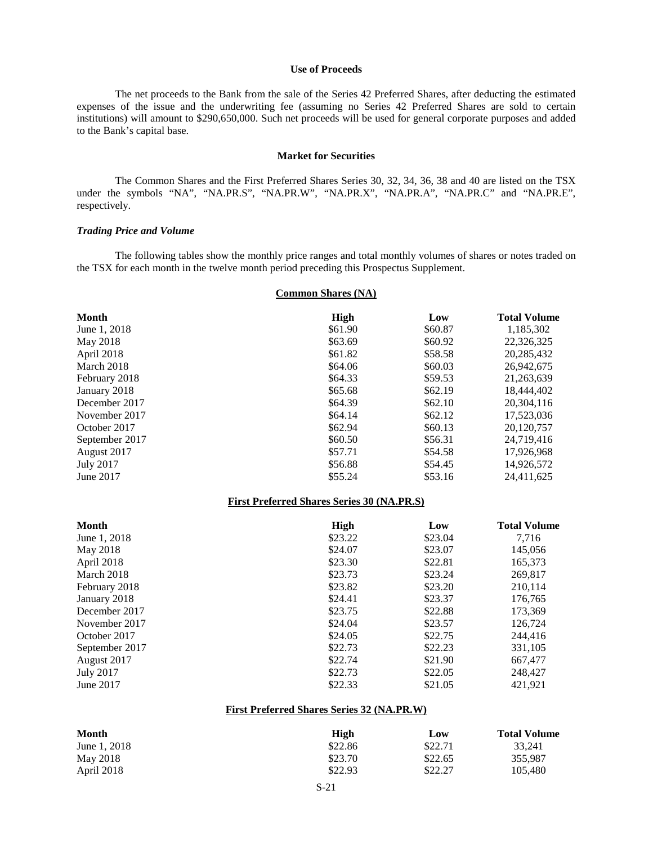#### <span id="page-20-0"></span>**Use of Proceeds**

The net proceeds to the Bank from the sale of the Series 42 Preferred Shares, after deducting the estimated expenses of the issue and the underwriting fee (assuming no Series 42 Preferred Shares are sold to certain institutions) will amount to \$290,650,000. Such net proceeds will be used for general corporate purposes and added to the Bank's capital base.

#### <span id="page-20-1"></span>**Market for Securities**

The Common Shares and the First Preferred Shares Series 30, 32, 34, 36, 38 and 40 are listed on the TSX under the symbols "NA", "NA.PR.S", "NA.PR.W", "NA.PR.X", "NA.PR.A", "NA.PR.C" and "NA.PR.E", respectively.

#### *Trading Price and Volume*

The following tables show the monthly price ranges and total monthly volumes of shares or notes traded on the TSX for each month in the twelve month period preceding this Prospectus Supplement.

# **Common Shares (NA)**

| <b>Month</b>                                      | <b>High</b> | Low     | <b>Total Volume</b> |
|---------------------------------------------------|-------------|---------|---------------------|
| June 1, 2018                                      | \$61.90     | \$60.87 | 1,185,302           |
| May 2018                                          | \$63.69     | \$60.92 | 22,326,325          |
| April 2018                                        | \$61.82     | \$58.58 | 20,285,432          |
| March 2018                                        | \$64.06     | \$60.03 | 26,942,675          |
| February 2018                                     | \$64.33     | \$59.53 | 21,263,639          |
| January 2018                                      | \$65.68     | \$62.19 | 18,444,402          |
| December 2017                                     | \$64.39     | \$62.10 | 20,304,116          |
| November 2017                                     | \$64.14     | \$62.12 | 17,523,036          |
| October 2017                                      | \$62.94     | \$60.13 | 20,120,757          |
| September 2017                                    | \$60.50     | \$56.31 | 24,719,416          |
| August 2017                                       | \$57.71     | \$54.58 | 17,926,968          |
| <b>July 2017</b>                                  | \$56.88     | \$54.45 | 14,926,572          |
| June 2017                                         | \$55.24     | \$53.16 | 24,411,625          |
| <b>First Preferred Shares Series 30 (NA.PR.S)</b> |             |         |                     |
| <b>Month</b>                                      | <b>High</b> | Low     | <b>Total Volume</b> |
| June 1, 2018                                      | \$23.22     | \$23.04 | 7,716               |
| May 2018                                          | \$24.07     | \$23.07 | 145,056             |
| April 2018                                        | \$23.30     | \$22.81 | 165,373             |
| March 2018                                        | \$23.73     | \$23.24 | 269,817             |
| February 2018                                     | \$23.82     | \$23.20 | 210,114             |
| January 2018                                      | \$24.41     | \$23.37 | 176,765             |
| December 2017                                     | \$23.75     | \$22.88 | 173,369             |
| November 2017                                     | \$24.04     | \$23.57 | 126,724             |
| October 2017                                      | \$24.05     | \$22.75 | 244,416             |
| September 2017                                    | \$22.73     | \$22.23 | 331,105             |
| August 2017                                       | \$22.74     | \$21.90 | 667,477             |
| <b>July 2017</b>                                  |             |         |                     |
|                                                   | \$22.73     | \$22.05 | 248,427             |

# **First Preferred Shares Series 32 (NA.PR.W)**

| Month        | High    | Low     | <b>Total Volume</b> |
|--------------|---------|---------|---------------------|
| June 1, 2018 | \$22.86 | \$22.71 | 33.241              |
| May 2018     | \$23.70 | \$22.65 | 355,987             |
| April 2018   | \$22.93 | \$22.27 | 105,480             |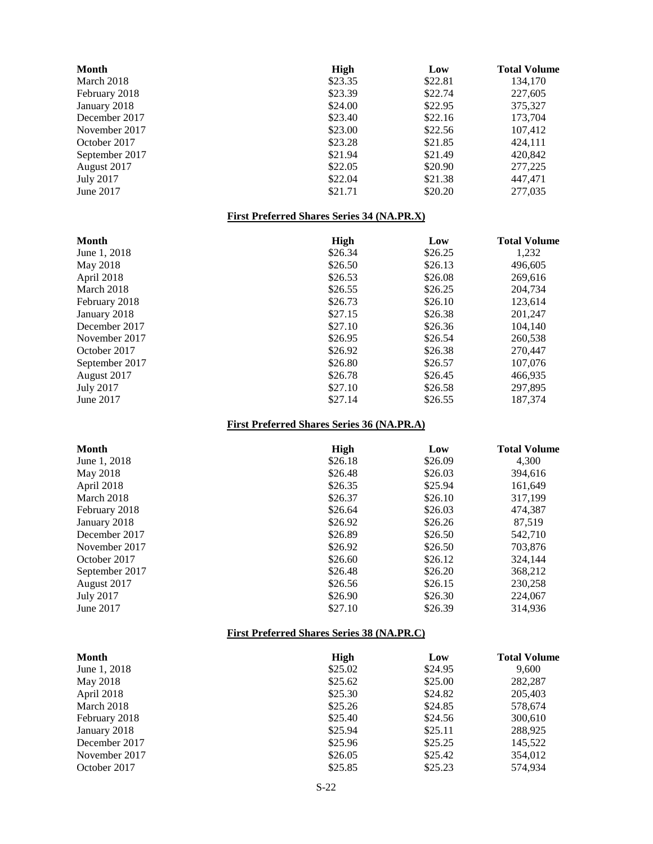| <b>Month</b>     | <b>High</b>                                         | Low     | <b>Total Volume</b> |
|------------------|-----------------------------------------------------|---------|---------------------|
| March 2018       | \$23.35                                             | \$22.81 | 134,170             |
| February 2018    | \$23.39                                             | \$22.74 | 227,605             |
| January 2018     | \$24.00                                             | \$22.95 | 375,327             |
| December 2017    | \$23.40                                             | \$22.16 | 173,704             |
| November 2017    | \$23.00                                             | \$22.56 | 107,412             |
| October 2017     | \$23.28                                             | \$21.85 | 424,111             |
| September 2017   | \$21.94                                             | \$21.49 | 420,842             |
| August 2017      | \$22.05                                             | \$20.90 | 277,225             |
| <b>July 2017</b> | \$22.04                                             | \$21.38 | 447,471             |
| June 2017        | \$21.71                                             | \$20.20 | 277,035             |
|                  | <b>First Preferred Shares Series 34 (NA.PR.X)</b>   |         |                     |
| <b>Month</b>     | <b>High</b>                                         | Low     | <b>Total Volume</b> |
| June 1, 2018     | \$26.34                                             | \$26.25 | 1,232               |
| May 2018         | \$26.50                                             | \$26.13 | 496,605             |
| April 2018       | \$26.53                                             | \$26.08 | 269,616             |
| March 2018       | \$26.55                                             | \$26.25 | 204,734             |
| February 2018    | \$26.73                                             | \$26.10 | 123,614             |
| January 2018     | \$27.15                                             | \$26.38 | 201,247             |
| December 2017    | \$27.10                                             | \$26.36 | 104,140             |
| November 2017    | \$26.95                                             | \$26.54 | 260,538             |
| October 2017     | \$26.92                                             | \$26.38 | 270,447             |
| September 2017   | \$26.80                                             | \$26.57 | 107,076             |
| August 2017      | \$26.78                                             | \$26.45 | 466,935             |
| <b>July 2017</b> | \$27.10                                             | \$26.58 | 297,895             |
| June 2017        | \$27.14                                             | \$26.55 | 187,374             |
|                  | <b>First Preferred Shares Series 36 (NA.PR.A)</b>   |         |                     |
| <b>Month</b>     | High                                                | Low     | <b>Total Volume</b> |
| June 1, 2018     | \$26.18                                             | \$26.09 | 4,300               |
| May 2018         | \$26.48                                             | \$26.03 | 394,616             |
| April 2018       | \$26.35                                             | \$25.94 | 161,649             |
| March 2018       | \$26.37                                             | \$26.10 | 317,199             |
| February 2018    | \$26.64                                             | \$26.03 | 474,387             |
| January 2018     | \$26.92                                             | \$26.26 | 87,519              |
| December 2017    | \$26.89                                             | \$26.50 | 542,710             |
| November 2017    | \$26.92                                             | \$26.50 | 703,876             |
| October 2017     | \$26.60                                             | \$26.12 | 324,144             |
| September 2017   | \$26.48                                             | \$26.20 | 368,212             |
| August 2017      | \$26.56                                             | \$26.15 | 230,258             |
| <b>July 2017</b> | \$26.90                                             | \$26.30 | 224,067             |
| June 2017        | \$27.10                                             | \$26.39 | 314,936             |
|                  | <b>First Preferred Shares Series 38 (NA, PR, C)</b> |         |                     |
| <b>Month</b>     | <b>High</b>                                         | Low     | <b>Total Volume</b> |
| June 1, 2018     | \$25.02                                             | \$24.95 | 9,600               |
| May 2018         | \$25.62                                             | \$25.00 | 282,287             |
| April 2018       | \$25.30                                             | \$24.82 | 205,403             |
| March 2018       | \$25.26                                             | \$24.85 | 578,674             |
| February 2018    | \$25.40                                             | \$24.56 | 300,610             |
| January 2018     | \$25.94                                             | \$25.11 | 288,925             |
| December 2017    | \$25.96                                             | \$25.25 | 145,522             |
| November 2017    | \$26.05                                             | \$25.42 | 354,012             |

October 2017 **\$25.85** \$25.23 574,934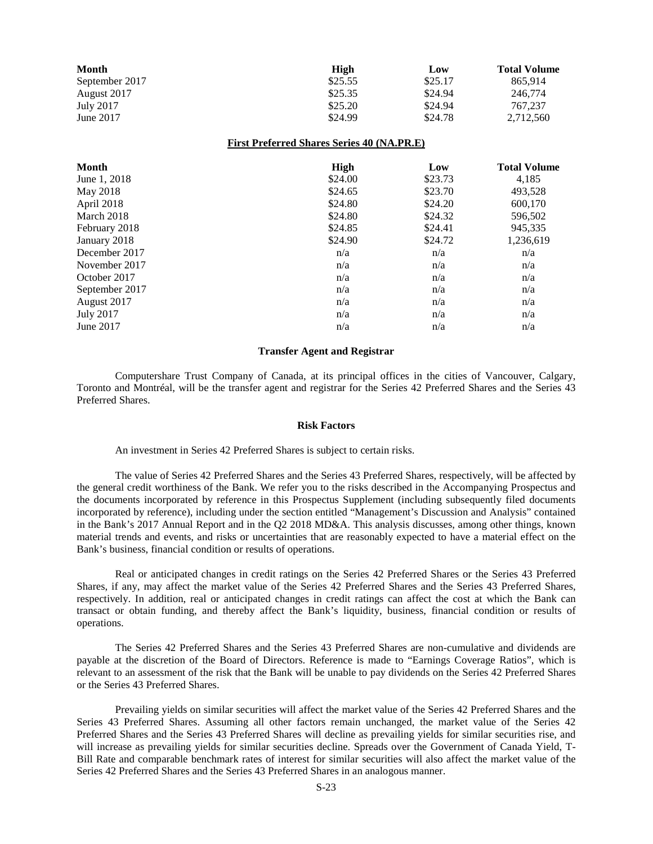| Month          | High    | Low     | <b>Total Volume</b> |
|----------------|---------|---------|---------------------|
| September 2017 | \$25.55 | \$25.17 | 865.914             |
| August 2017    | \$25.35 | \$24.94 | 246,774             |
| July 2017      | \$25.20 | \$24.94 | 767,237             |
| June 2017      | \$24.99 | \$24.78 | 2.712.560           |

#### **First Preferred Shares Series 40 (NA.PR.E)**

| <b>Month</b>     | High    | Low     | <b>Total Volume</b> |
|------------------|---------|---------|---------------------|
| June 1, 2018     | \$24.00 | \$23.73 | 4,185               |
| May 2018         | \$24.65 | \$23.70 | 493,528             |
| April 2018       | \$24.80 | \$24.20 | 600,170             |
| March 2018       | \$24.80 | \$24.32 | 596,502             |
| February 2018    | \$24.85 | \$24.41 | 945,335             |
| January 2018     | \$24.90 | \$24.72 | 1,236,619           |
| December 2017    | n/a     | n/a     | n/a                 |
| November 2017    | n/a     | n/a     | n/a                 |
| October 2017     | n/a     | n/a     | n/a                 |
| September 2017   | n/a     | n/a     | n/a                 |
| August 2017      | n/a     | n/a     | n/a                 |
| <b>July 2017</b> | n/a     | n/a     | n/a                 |
| June 2017        | n/a     | n/a     | n/a                 |

#### <span id="page-22-0"></span>**Transfer Agent and Registrar**

Computershare Trust Company of Canada, at its principal offices in the cities of Vancouver, Calgary, Toronto and Montréal, will be the transfer agent and registrar for the Series 42 Preferred Shares and the Series 43 Preferred Shares.

#### <span id="page-22-1"></span>**Risk Factors**

An investment in Series 42 Preferred Shares is subject to certain risks.

The value of Series 42 Preferred Shares and the Series 43 Preferred Shares, respectively, will be affected by the general credit worthiness of the Bank. We refer you to the risks described in the Accompanying Prospectus and the documents incorporated by reference in this Prospectus Supplement (including subsequently filed documents incorporated by reference), including under the section entitled "Management's Discussion and Analysis" contained in the Bank's 2017 Annual Report and in the Q2 2018 MD&A. This analysis discusses, among other things, known material trends and events, and risks or uncertainties that are reasonably expected to have a material effect on the Bank's business, financial condition or results of operations.

Real or anticipated changes in credit ratings on the Series 42 Preferred Shares or the Series 43 Preferred Shares, if any, may affect the market value of the Series 42 Preferred Shares and the Series 43 Preferred Shares, respectively. In addition, real or anticipated changes in credit ratings can affect the cost at which the Bank can transact or obtain funding, and thereby affect the Bank's liquidity, business, financial condition or results of operations.

The Series 42 Preferred Shares and the Series 43 Preferred Shares are non-cumulative and dividends are payable at the discretion of the Board of Directors. Reference is made to "Earnings Coverage Ratios", which is relevant to an assessment of the risk that the Bank will be unable to pay dividends on the Series 42 Preferred Shares or the Series 43 Preferred Shares.

Prevailing yields on similar securities will affect the market value of the Series 42 Preferred Shares and the Series 43 Preferred Shares. Assuming all other factors remain unchanged, the market value of the Series 42 Preferred Shares and the Series 43 Preferred Shares will decline as prevailing yields for similar securities rise, and will increase as prevailing yields for similar securities decline. Spreads over the Government of Canada Yield, T-Bill Rate and comparable benchmark rates of interest for similar securities will also affect the market value of the Series 42 Preferred Shares and the Series 43 Preferred Shares in an analogous manner.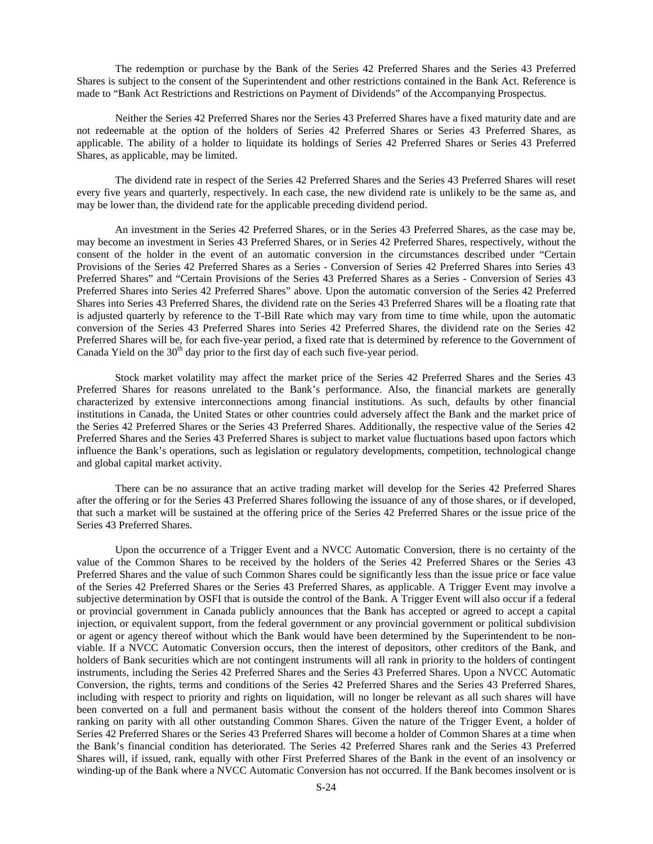The redemption or purchase by the Bank of the Series 42 Preferred Shares and the Series 43 Preferred Shares is subject to the consent of the Superintendent and other restrictions contained in the Bank Act. Reference is made to "Bank Act Restrictions and Restrictions on Payment of Dividends" of the Accompanying Prospectus.

Neither the Series 42 Preferred Shares nor the Series 43 Preferred Shares have a fixed maturity date and are not redeemable at the option of the holders of Series 42 Preferred Shares or Series 43 Preferred Shares, as applicable. The ability of a holder to liquidate its holdings of Series 42 Preferred Shares or Series 43 Preferred Shares, as applicable, may be limited.

The dividend rate in respect of the Series 42 Preferred Shares and the Series 43 Preferred Shares will reset every five years and quarterly, respectively. In each case, the new dividend rate is unlikely to be the same as, and may be lower than, the dividend rate for the applicable preceding dividend period.

An investment in the Series 42 Preferred Shares, or in the Series 43 Preferred Shares, as the case may be, may become an investment in Series 43 Preferred Shares, or in Series 42 Preferred Shares, respectively, without the consent of the holder in the event of an automatic conversion in the circumstances described under "Certain Provisions of the Series 42 Preferred Shares as a Series - Conversion of Series 42 Preferred Shares into Series 43 Preferred Shares" and "Certain Provisions of the Series 43 Preferred Shares as a Series - Conversion of Series 43 Preferred Shares into Series 42 Preferred Shares" above. Upon the automatic conversion of the Series 42 Preferred Shares into Series 43 Preferred Shares, the dividend rate on the Series 43 Preferred Shares will be a floating rate that is adjusted quarterly by reference to the T-Bill Rate which may vary from time to time while, upon the automatic conversion of the Series 43 Preferred Shares into Series 42 Preferred Shares, the dividend rate on the Series 42 Preferred Shares will be, for each five-year period, a fixed rate that is determined by reference to the Government of Canada Yield on the  $30<sup>th</sup>$  day prior to the first day of each such five-year period.

Stock market volatility may affect the market price of the Series 42 Preferred Shares and the Series 43 Preferred Shares for reasons unrelated to the Bank's performance. Also, the financial markets are generally characterized by extensive interconnections among financial institutions. As such, defaults by other financial institutions in Canada, the United States or other countries could adversely affect the Bank and the market price of the Series 42 Preferred Shares or the Series 43 Preferred Shares. Additionally, the respective value of the Series 42 Preferred Shares and the Series 43 Preferred Shares is subject to market value fluctuations based upon factors which influence the Bank's operations, such as legislation or regulatory developments, competition, technological change and global capital market activity.

There can be no assurance that an active trading market will develop for the Series 42 Preferred Shares after the offering or for the Series 43 Preferred Shares following the issuance of any of those shares, or if developed, that such a market will be sustained at the offering price of the Series 42 Preferred Shares or the issue price of the Series 43 Preferred Shares.

Upon the occurrence of a Trigger Event and a NVCC Automatic Conversion, there is no certainty of the value of the Common Shares to be received by the holders of the Series 42 Preferred Shares or the Series 43 Preferred Shares and the value of such Common Shares could be significantly less than the issue price or face value of the Series 42 Preferred Shares or the Series 43 Preferred Shares, as applicable. A Trigger Event may involve a subjective determination by OSFI that is outside the control of the Bank. A Trigger Event will also occur if a federal or provincial government in Canada publicly announces that the Bank has accepted or agreed to accept a capital injection, or equivalent support, from the federal government or any provincial government or political subdivision or agent or agency thereof without which the Bank would have been determined by the Superintendent to be nonviable. If a NVCC Automatic Conversion occurs, then the interest of depositors, other creditors of the Bank, and holders of Bank securities which are not contingent instruments will all rank in priority to the holders of contingent instruments, including the Series 42 Preferred Shares and the Series 43 Preferred Shares. Upon a NVCC Automatic Conversion, the rights, terms and conditions of the Series 42 Preferred Shares and the Series 43 Preferred Shares, including with respect to priority and rights on liquidation, will no longer be relevant as all such shares will have been converted on a full and permanent basis without the consent of the holders thereof into Common Shares ranking on parity with all other outstanding Common Shares. Given the nature of the Trigger Event, a holder of Series 42 Preferred Shares or the Series 43 Preferred Shares will become a holder of Common Shares at a time when the Bank's financial condition has deteriorated. The Series 42 Preferred Shares rank and the Series 43 Preferred Shares will, if issued, rank, equally with other First Preferred Shares of the Bank in the event of an insolvency or winding-up of the Bank where a NVCC Automatic Conversion has not occurred. If the Bank becomes insolvent or is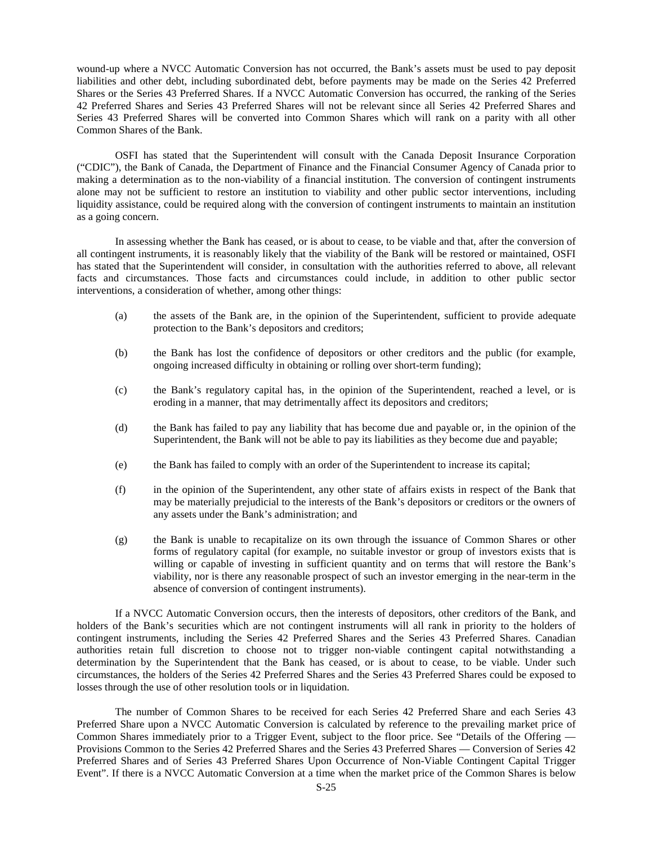wound-up where a NVCC Automatic Conversion has not occurred, the Bank's assets must be used to pay deposit liabilities and other debt, including subordinated debt, before payments may be made on the Series 42 Preferred Shares or the Series 43 Preferred Shares. If a NVCC Automatic Conversion has occurred, the ranking of the Series 42 Preferred Shares and Series 43 Preferred Shares will not be relevant since all Series 42 Preferred Shares and Series 43 Preferred Shares will be converted into Common Shares which will rank on a parity with all other Common Shares of the Bank.

OSFI has stated that the Superintendent will consult with the Canada Deposit Insurance Corporation ("CDIC"), the Bank of Canada, the Department of Finance and the Financial Consumer Agency of Canada prior to making a determination as to the non-viability of a financial institution. The conversion of contingent instruments alone may not be sufficient to restore an institution to viability and other public sector interventions, including liquidity assistance, could be required along with the conversion of contingent instruments to maintain an institution as a going concern.

In assessing whether the Bank has ceased, or is about to cease, to be viable and that, after the conversion of all contingent instruments, it is reasonably likely that the viability of the Bank will be restored or maintained, OSFI has stated that the Superintendent will consider, in consultation with the authorities referred to above, all relevant facts and circumstances. Those facts and circumstances could include, in addition to other public sector interventions, a consideration of whether, among other things:

- (a) the assets of the Bank are, in the opinion of the Superintendent, sufficient to provide adequate protection to the Bank's depositors and creditors;
- (b) the Bank has lost the confidence of depositors or other creditors and the public (for example, ongoing increased difficulty in obtaining or rolling over short-term funding);
- (c) the Bank's regulatory capital has, in the opinion of the Superintendent, reached a level, or is eroding in a manner, that may detrimentally affect its depositors and creditors;
- (d) the Bank has failed to pay any liability that has become due and payable or, in the opinion of the Superintendent, the Bank will not be able to pay its liabilities as they become due and payable;
- (e) the Bank has failed to comply with an order of the Superintendent to increase its capital;
- (f) in the opinion of the Superintendent, any other state of affairs exists in respect of the Bank that may be materially prejudicial to the interests of the Bank's depositors or creditors or the owners of any assets under the Bank's administration; and
- (g) the Bank is unable to recapitalize on its own through the issuance of Common Shares or other forms of regulatory capital (for example, no suitable investor or group of investors exists that is willing or capable of investing in sufficient quantity and on terms that will restore the Bank's viability, nor is there any reasonable prospect of such an investor emerging in the near-term in the absence of conversion of contingent instruments).

If a NVCC Automatic Conversion occurs, then the interests of depositors, other creditors of the Bank, and holders of the Bank's securities which are not contingent instruments will all rank in priority to the holders of contingent instruments, including the Series 42 Preferred Shares and the Series 43 Preferred Shares. Canadian authorities retain full discretion to choose not to trigger non-viable contingent capital notwithstanding a determination by the Superintendent that the Bank has ceased, or is about to cease, to be viable. Under such circumstances, the holders of the Series 42 Preferred Shares and the Series 43 Preferred Shares could be exposed to losses through the use of other resolution tools or in liquidation.

The number of Common Shares to be received for each Series 42 Preferred Share and each Series 43 Preferred Share upon a NVCC Automatic Conversion is calculated by reference to the prevailing market price of Common Shares immediately prior to a Trigger Event, subject to the floor price. See "Details of the Offering — Provisions Common to the Series 42 Preferred Shares and the Series 43 Preferred Shares — Conversion of Series 42 Preferred Shares and of Series 43 Preferred Shares Upon Occurrence of Non-Viable Contingent Capital Trigger Event". If there is a NVCC Automatic Conversion at a time when the market price of the Common Shares is below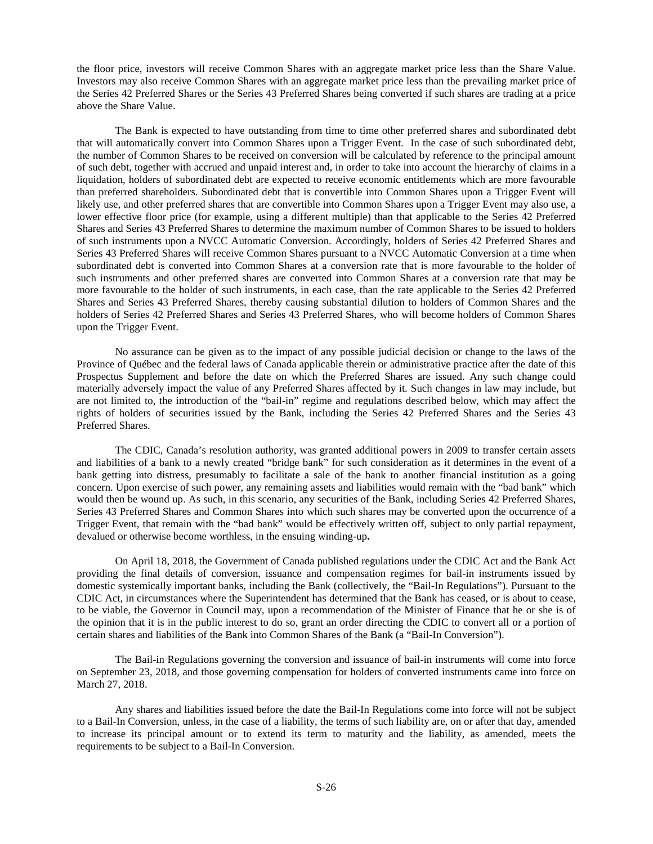the floor price, investors will receive Common Shares with an aggregate market price less than the Share Value. Investors may also receive Common Shares with an aggregate market price less than the prevailing market price of the Series 42 Preferred Shares or the Series 43 Preferred Shares being converted if such shares are trading at a price above the Share Value.

The Bank is expected to have outstanding from time to time other preferred shares and subordinated debt that will automatically convert into Common Shares upon a Trigger Event. In the case of such subordinated debt, the number of Common Shares to be received on conversion will be calculated by reference to the principal amount of such debt, together with accrued and unpaid interest and, in order to take into account the hierarchy of claims in a liquidation, holders of subordinated debt are expected to receive economic entitlements which are more favourable than preferred shareholders. Subordinated debt that is convertible into Common Shares upon a Trigger Event will likely use, and other preferred shares that are convertible into Common Shares upon a Trigger Event may also use, a lower effective floor price (for example, using a different multiple) than that applicable to the Series 42 Preferred Shares and Series 43 Preferred Shares to determine the maximum number of Common Shares to be issued to holders of such instruments upon a NVCC Automatic Conversion. Accordingly, holders of Series 42 Preferred Shares and Series 43 Preferred Shares will receive Common Shares pursuant to a NVCC Automatic Conversion at a time when subordinated debt is converted into Common Shares at a conversion rate that is more favourable to the holder of such instruments and other preferred shares are converted into Common Shares at a conversion rate that may be more favourable to the holder of such instruments, in each case, than the rate applicable to the Series 42 Preferred Shares and Series 43 Preferred Shares, thereby causing substantial dilution to holders of Common Shares and the holders of Series 42 Preferred Shares and Series 43 Preferred Shares, who will become holders of Common Shares upon the Trigger Event.

No assurance can be given as to the impact of any possible judicial decision or change to the laws of the Province of Québec and the federal laws of Canada applicable therein or administrative practice after the date of this Prospectus Supplement and before the date on which the Preferred Shares are issued. Any such change could materially adversely impact the value of any Preferred Shares affected by it. Such changes in law may include, but are not limited to, the introduction of the "bail-in" regime and regulations described below, which may affect the rights of holders of securities issued by the Bank, including the Series 42 Preferred Shares and the Series 43 Preferred Shares.

The CDIC, Canada's resolution authority, was granted additional powers in 2009 to transfer certain assets and liabilities of a bank to a newly created "bridge bank" for such consideration as it determines in the event of a bank getting into distress, presumably to facilitate a sale of the bank to another financial institution as a going concern. Upon exercise of such power, any remaining assets and liabilities would remain with the "bad bank" which would then be wound up. As such, in this scenario, any securities of the Bank, including Series 42 Preferred Shares, Series 43 Preferred Shares and Common Shares into which such shares may be converted upon the occurrence of a Trigger Event, that remain with the "bad bank" would be effectively written off, subject to only partial repayment, devalued or otherwise become worthless, in the ensuing winding-up**.**

On April 18, 2018, the Government of Canada published regulations under the CDIC Act and the Bank Act providing the final details of conversion, issuance and compensation regimes for bail-in instruments issued by domestic systemically important banks, including the Bank (collectively, the "Bail-In Regulations"). Pursuant to the CDIC Act, in circumstances where the Superintendent has determined that the Bank has ceased, or is about to cease, to be viable, the Governor in Council may, upon a recommendation of the Minister of Finance that he or she is of the opinion that it is in the public interest to do so, grant an order directing the CDIC to convert all or a portion of certain shares and liabilities of the Bank into Common Shares of the Bank (a "Bail-In Conversion").

The Bail-in Regulations governing the conversion and issuance of bail-in instruments will come into force on September 23, 2018, and those governing compensation for holders of converted instruments came into force on March 27, 2018.

Any shares and liabilities issued before the date the Bail-In Regulations come into force will not be subject to a Bail-In Conversion, unless, in the case of a liability, the terms of such liability are, on or after that day, amended to increase its principal amount or to extend its term to maturity and the liability, as amended, meets the requirements to be subject to a Bail-In Conversion.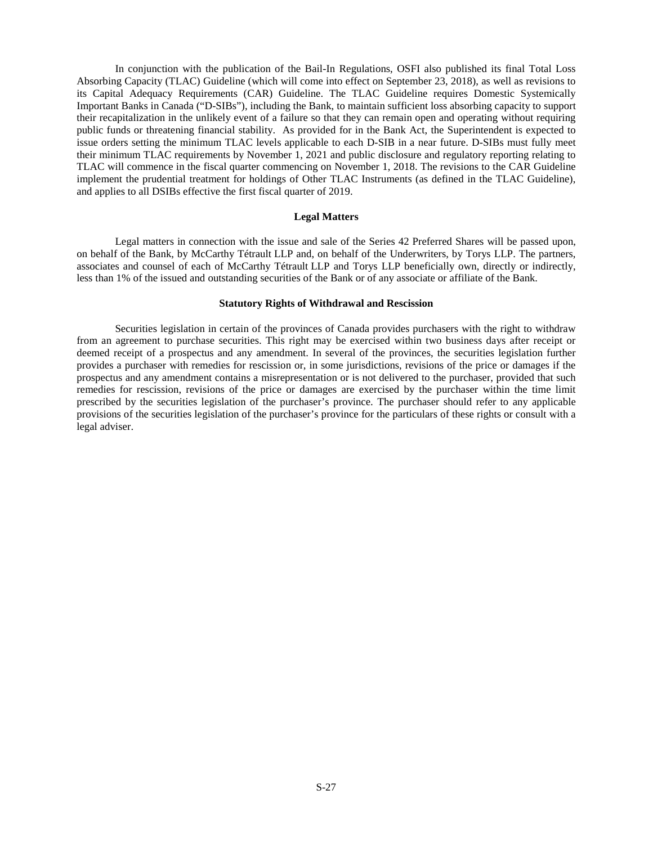In conjunction with the publication of the Bail-In Regulations, OSFI also published its final Total Loss Absorbing Capacity (TLAC) Guideline (which will come into effect on September 23, 2018), as well as revisions to its Capital Adequacy Requirements (CAR) Guideline. The TLAC Guideline requires Domestic Systemically Important Banks in Canada ("D-SIBs"), including the Bank, to maintain sufficient loss absorbing capacity to support their recapitalization in the unlikely event of a failure so that they can remain open and operating without requiring public funds or threatening financial stability. As provided for in the Bank Act, the Superintendent is expected to issue orders setting the minimum TLAC levels applicable to each D-SIB in a near future. D-SIBs must fully meet their minimum TLAC requirements by November 1, 2021 and public disclosure and regulatory reporting relating to TLAC will commence in the fiscal quarter commencing on November 1, 2018. The revisions to the CAR Guideline implement the prudential treatment for holdings of Other TLAC Instruments (as defined in the TLAC Guideline), and applies to all DSIBs effective the first fiscal quarter of 2019.

# <span id="page-26-0"></span>**Legal Matters**

Legal matters in connection with the issue and sale of the Series 42 Preferred Shares will be passed upon, on behalf of the Bank, by McCarthy Tétrault LLP and, on behalf of the Underwriters, by Torys LLP. The partners, associates and counsel of each of McCarthy Tétrault LLP and Torys LLP beneficially own, directly or indirectly, less than 1% of the issued and outstanding securities of the Bank or of any associate or affiliate of the Bank.

#### <span id="page-26-1"></span>**Statutory Rights of Withdrawal and Rescission**

Securities legislation in certain of the provinces of Canada provides purchasers with the right to withdraw from an agreement to purchase securities. This right may be exercised within two business days after receipt or deemed receipt of a prospectus and any amendment. In several of the provinces, the securities legislation further provides a purchaser with remedies for rescission or, in some jurisdictions, revisions of the price or damages if the prospectus and any amendment contains a misrepresentation or is not delivered to the purchaser, provided that such remedies for rescission, revisions of the price or damages are exercised by the purchaser within the time limit prescribed by the securities legislation of the purchaser's province. The purchaser should refer to any applicable provisions of the securities legislation of the purchaser's province for the particulars of these rights or consult with a legal adviser.